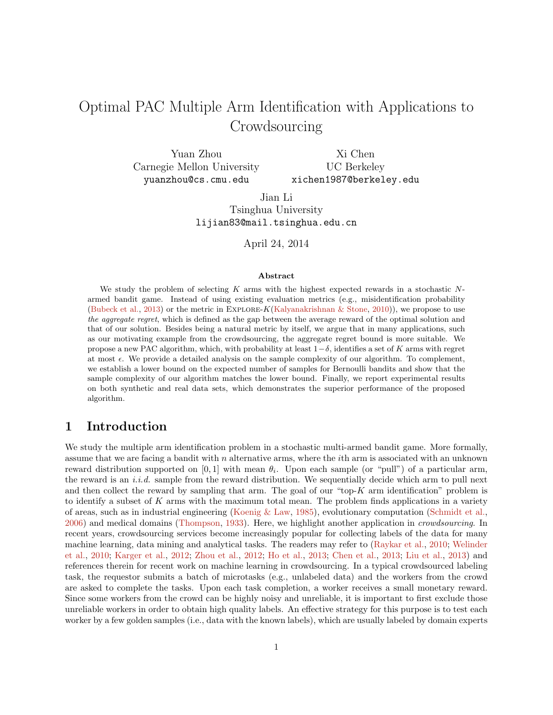# <span id="page-0-0"></span>Optimal PAC Multiple Arm Identification with Applications to Crowdsourcing

Yuan Zhou Carnegie Mellon University yuanzhou@cs.cmu.edu Xi Chen UC Berkeley

xichen1987@berkeley.edu

Jian Li Tsinghua University lijian83@mail.tsinghua.edu.cn

April 24, 2014

#### Abstract

We study the problem of selecting K arms with the highest expected rewards in a stochastic  $N$ armed bandit game. Instead of using existing evaluation metrics (e.g., misidentification probability [\(Bubeck et al.,](#page-11-0) [2013\)](#page-11-0) or the metric in EXPLORE-K[\(Kalyanakrishnan & Stone,](#page-11-1) [2010\)](#page-11-1)), we propose to use the aggregate regret, which is defined as the gap between the average reward of the optimal solution and that of our solution. Besides being a natural metric by itself, we argue that in many applications, such as our motivating example from the crowdsourcing, the aggregate regret bound is more suitable. We propose a new PAC algorithm, which, with probability at least  $1-\delta$ , identifies a set of K arms with regret at most  $\epsilon$ . We provide a detailed analysis on the sample complexity of our algorithm. To complement, we establish a lower bound on the expected number of samples for Bernoulli bandits and show that the sample complexity of our algorithm matches the lower bound. Finally, we report experimental results on both synthetic and real data sets, which demonstrates the superior performance of the proposed algorithm.

# 1 Introduction

We study the multiple arm identification problem in a stochastic multi-armed bandit game. More formally, assume that we are facing a bandit with  $n$  alternative arms, where the *i*th arm is associated with an unknown reward distribution supported on [0,1] with mean  $\theta_i$ . Upon each sample (or "pull") of a particular arm, the reward is an  $i.i.d.$  sample from the reward distribution. We sequentially decide which arm to pull next and then collect the reward by sampling that arm. The goal of our "top- $K$  arm identification" problem is to identify a subset of  $K$  arms with the maximum total mean. The problem finds applications in a variety of areas, such as in industrial engineering [\(Koenig & Law,](#page-11-2) [1985\)](#page-11-2), evolutionary computation [\(Schmidt et al.,](#page-11-3) [2006\)](#page-11-3) and medical domains [\(Thompson,](#page-12-0) [1933\)](#page-12-0). Here, we highlight another application in crowdsourcing. In recent years, crowdsourcing services become increasingly popular for collecting labels of the data for many machine learning, data mining and analytical tasks. The readers may refer to [\(Raykar et al.,](#page-11-4) [2010;](#page-11-4) [Welinder](#page-12-1) [et al.,](#page-12-1) [2010;](#page-12-1) [Karger et al.,](#page-11-5) [2012;](#page-11-5) [Zhou et al.,](#page-12-2) [2012;](#page-12-2) [Ho et al.,](#page-11-6) [2013;](#page-11-6) [Chen et al.,](#page-11-7) [2013;](#page-11-7) [Liu et al.,](#page-11-8) [2013\)](#page-11-8) and references therein for recent work on machine learning in crowdsourcing. In a typical crowdsourced labeling task, the requestor submits a batch of microtasks (e.g., unlabeled data) and the workers from the crowd are asked to complete the tasks. Upon each task completion, a worker receives a small monetary reward. Since some workers from the crowd can be highly noisy and unreliable, it is important to first exclude those unreliable workers in order to obtain high quality labels. An effective strategy for this purpose is to test each worker by a few golden samples (i.e., data with the known labels), which are usually labeled by domain experts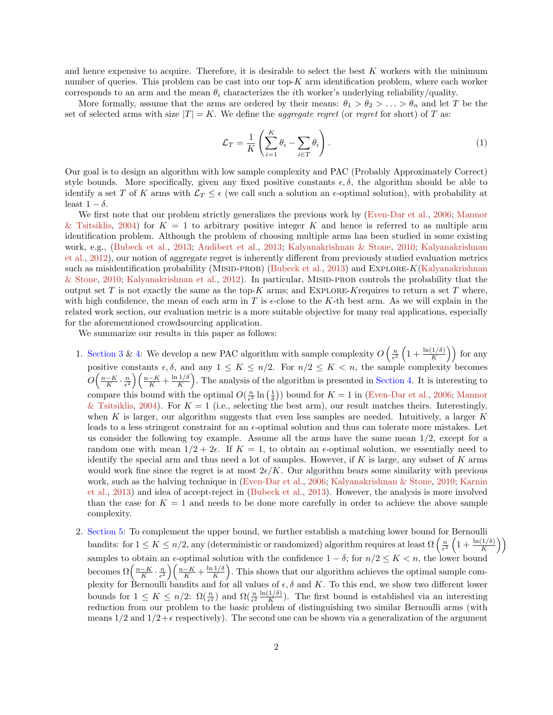<span id="page-1-1"></span>and hence expensive to acquire. Therefore, it is desirable to select the best  $K$  workers with the minimum number of queries. This problem can be cast into our top-K arm identification problem, where each worker corresponds to an arm and the mean  $\theta_i$  characterizes the *i*th worker's underlying reliability/quality.

More formally, assume that the arms are ordered by their means:  $\theta_1 > \theta_2 > \ldots > \theta_n$  and let T be the set of selected arms with size  $|T| = K$ . We define the *aggregate regret* (or *regret* for short) of T as:

<span id="page-1-0"></span>
$$
\mathcal{L}_T = \frac{1}{K} \left( \sum_{i=1}^K \theta_i - \sum_{i \in T} \theta_i \right). \tag{1}
$$

Our goal is to design an algorithm with low sample complexity and PAC (Probably Approximately Correct) style bounds. More specifically, given any fixed positive constants  $\epsilon, \delta$ , the algorithm should be able to identify a set T of K arms with  $\mathcal{L}_T \leq \epsilon$  (we call such a solution an  $\epsilon$ -optimal solution), with probability at least  $1 - \delta$ .

We first note that our problem strictly generalizes the previous work by [\(Even-Dar et al.,](#page-11-9) [2006;](#page-11-9) [Mannor](#page-11-10) [& Tsitsiklis,](#page-11-10) [2004\)](#page-11-10) for  $K = 1$  to arbitrary positive integer K and hence is referred to as multiple arm identification problem. Although the problem of choosing multiple arms has been studied in some existing work, e.g., [\(Bubeck et al.,](#page-11-0) [2013;](#page-11-0) [Audibert et al.,](#page-10-0) [2013;](#page-10-0) [Kalyanakrishnan & Stone,](#page-11-1) [2010;](#page-11-1) [Kalyanakrishnan](#page-11-11) [et al.,](#page-11-11) [2012\)](#page-11-11), our notion of aggregate regret is inherently different from previously studied evaluation metrics such as misidentification probability (MISID-PROB) [\(Bubeck et al.,](#page-11-0) [2013\)](#page-11-0) and EXPLORE-K[\(Kalyanakrishnan](#page-11-1) [& Stone,](#page-11-1) [2010;](#page-11-1) [Kalyanakrishnan et al.,](#page-11-11) [2012\)](#page-11-11). In particular, MISID-PROB controls the probability that the output set T is not exactly the same as the top-K arms; and EXPLORE-Krequires to return a set T where, with high confidence, the mean of each arm in T is  $\epsilon$ -close to the K-th best arm. As we will explain in the related work section, our evaluation metric is a more suitable objective for many real applications, especially for the aforementioned crowdsourcing application.

We summarize our results in this paper as follows:

- 1. [Section 3](#page-3-0) & [4:](#page-4-0) We develop a new PAC algorithm with sample complexity  $O\left(\frac{n}{\epsilon^2}\left(1+\frac{\ln(1/\delta)}{K}\right)\right)$  for any positive constants  $\epsilon, \delta$ , and any  $1 \leq K \leq n/2$ . For  $n/2 \leq K < n$ , the sample complexity becomes  $O\left(\frac{n-K}{K}\cdot\frac{n}{\epsilon^2}\right)\left(\frac{n-K}{K}+\frac{\ln 1/\delta}{K}\right)$  $\frac{1/\delta}{K}$ . The analysis of the algorithm is presented in [Section 4.](#page-4-0) It is interesting to compare this bound with the optimal  $O(\frac{n}{\epsilon^2} \ln(\frac{1}{\delta}))$  bound for  $K = 1$  in [\(Even-Dar et al.,](#page-11-9) [2006;](#page-11-9) [Mannor](#page-11-10) [& Tsitsiklis,](#page-11-10) [2004\)](#page-11-10). For  $K = 1$  (i.e., selecting the best arm), our result matches theirs. Interestingly, when K is larger, our algorithm suggests that even less samples are needed. Intuitively, a larger  $K$ leads to a less stringent constraint for an  $\epsilon$ -optimal solution and thus can tolerate more mistakes. Let us consider the following toy example. Assume all the arms have the same mean  $1/2$ , except for a random one with mean  $1/2 + 2\epsilon$ . If  $K = 1$ , to obtain an  $\epsilon$ -optimal solution, we essentially need to identify the special arm and thus need a lot of samples. However, if K is large, any subset of K arms would work fine since the regret is at most  $2\epsilon/K$ . Our algorithm bears some similarity with previous work, such as the halving technique in [\(Even-Dar et al.,](#page-11-9) [2006;](#page-11-9) [Kalyanakrishnan & Stone,](#page-11-1) [2010;](#page-11-1) [Karnin](#page-11-12) [et al.,](#page-11-12) [2013\)](#page-11-12) and idea of accept-reject in [\(Bubeck et al.,](#page-11-0) [2013\)](#page-11-0). However, the analysis is more involved than the case for  $K = 1$  and needs to be done more carefully in order to achieve the above sample complexity.
- 2. [Section 5:](#page-6-0) To complement the upper bound, we further establish a matching lower bound for Bernoulli bandits: for  $1 \leq K \leq n/2$ , any (deterministic or randomized) algorithm requires at least  $\Omega\left(\frac{n}{\epsilon^2}\left(1+\frac{\ln(1/\delta)}{K}\right)\right)$ samples to obtain an  $\epsilon$ -optimal solution with the confidence  $1 - \delta$ ; for  $n/2 \leq K < n$ , the lower bound becomes  $\Omega\left(\frac{n-K}{K}\cdot\frac{n}{\epsilon^2}\right)\left(\frac{n-K}{K}+\frac{\ln 1/\delta}{K}\right)$  $\frac{1/\delta}{K}$ . This shows that our algorithm achieves the optimal sample complexity for Bernoulli bandits and for all values of  $\epsilon, \delta$  and K. To this end, we show two different lower bounds for  $1 \leq K \leq n/2$ :  $\Omega(\frac{n}{\epsilon^2})$  and  $\Omega(\frac{n}{\epsilon^2} \frac{\ln(1/\delta)}{K})$  $\frac{1}{K}$ ). The first bound is established via an interesting reduction from our problem to the basic problem of distinguishing two similar Bernoulli arms (with means  $1/2$  and  $1/2+\epsilon$  respectively). The second one can be shown via a generalization of the argument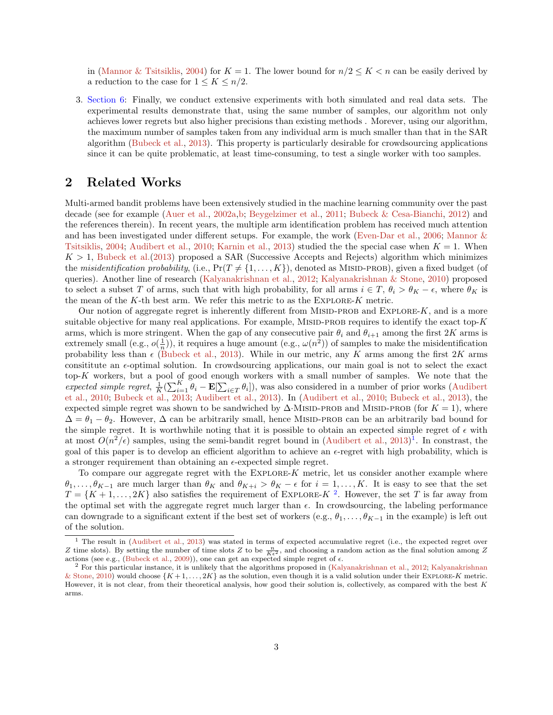<span id="page-2-2"></span>in [\(Mannor & Tsitsiklis,](#page-11-10) [2004\)](#page-11-10) for  $K = 1$ . The lower bound for  $n/2 \leq K \leq n$  can be easily derived by a reduction to the case for  $1 \leq K \leq n/2$ .

3. [Section 6:](#page-8-0) Finally, we conduct extensive experiments with both simulated and real data sets. The experimental results demonstrate that, using the same number of samples, our algorithm not only achieves lower regrets but also higher precisions than existing methods . Morever, using our algorithm, the maximum number of samples taken from any individual arm is much smaller than that in the SAR algorithm [\(Bubeck et al.,](#page-11-0) [2013\)](#page-11-0). This property is particularly desirable for crowdsourcing applications since it can be quite problematic, at least time-consuming, to test a single worker with too samples.

### 2 Related Works

Multi-armed bandit problems have been extensively studied in the machine learning community over the past decade (see for example [\(Auer et al.,](#page-10-1) [2002a,](#page-10-1)[b;](#page-10-2) [Beygelzimer et al.,](#page-11-13) [2011;](#page-11-13) [Bubeck & Cesa-Bianchi,](#page-11-14) [2012\)](#page-11-14) and the references therein). In recent years, the multiple arm identification problem has received much attention and has been investigated under different setups. For example, the work [\(Even-Dar et al.,](#page-11-9) [2006;](#page-11-9) [Mannor &](#page-11-10) [Tsitsiklis,](#page-11-10) [2004;](#page-11-10) [Audibert et al.,](#page-10-3) [2010;](#page-10-3) [Karnin et al.,](#page-11-12) [2013\)](#page-11-12) studied the the special case when  $K = 1$ . When  $K > 1$ , [Bubeck et al.\(2013\)](#page-11-0) proposed a SAR (Successive Accepts and Rejects) algorithm which minimizes the misidentification probability, (i.e.,  $Pr(T \neq \{1, ..., K\})$ , denoted as MISID-PROB), given a fixed budget (of queries). Another line of research [\(Kalyanakrishnan et al.,](#page-11-11) [2012;](#page-11-11) [Kalyanakrishnan & Stone,](#page-11-1) [2010\)](#page-11-1) proposed to select a subset T of arms, such that with high probability, for all arms  $i \in T$ ,  $\theta_i > \theta_K - \epsilon$ , where  $\theta_K$  is the mean of the  $K$ -th best arm. We refer this metric to as the  $EXPLORE-K$  metric.

Our notion of aggregate regret is inherently different from MISID-PROB and EXPLORE- $K$ , and is a more suitable objective for many real applications. For example, MISID-PROB requires to identify the exact top- $K$ arms, which is more stringent. When the gap of any consecutive pair  $\theta_i$  and  $\theta_{i+1}$  among the first 2K arms is extremely small (e.g.,  $o(\frac{1}{n})$ ), it requires a huge amount (e.g.,  $\omega(n^2)$ ) of samples to make the misidentification probability less than  $\epsilon$  [\(Bubeck et al.,](#page-11-0) [2013\)](#page-11-0). While in our metric, any K arms among the first 2K arms consititute an  $\epsilon$ -optimal solution. In crowdsourcing applications, our main goal is not to select the exact top-K workers, but a pool of good enough workers with a small number of samples. We note that the expected simple regret,  $\frac{1}{K}(\sum_{i=1}^K \theta_i - \mathbf{E}[\sum_{i \in T} \theta_i])$ , was also considered in a number of prior works [\(Audibert](#page-10-3) [et al.,](#page-10-3) [2010;](#page-10-3) [Bubeck et al.,](#page-11-0) [2013;](#page-11-0) [Audibert et al.,](#page-10-0) [2013\)](#page-10-0). In [\(Audibert et al.,](#page-10-3) [2010;](#page-10-3) [Bubeck et al.,](#page-11-0) [2013\)](#page-11-0), the expected simple regret was shown to be sandwiched by  $\Delta$ ·MISID-PROB and MISID-PROB (for  $K = 1$ ), where  $\Delta = \theta_1 - \theta_2$ . However,  $\Delta$  can be arbitrarily small, hence MISID-PROB can be an arbitrarily bad bound for the simple regret. It is worthwhile noting that it is possible to obtain an expected simple regret of  $\epsilon$  with at most  $O(n^2/\epsilon)$  samples, using the semi-bandit regret bound in [\(Audibert et al.,](#page-10-0) [2013\)](#page-10-0)<sup>[1](#page-2-0)</sup>. In constrast, the goal of this paper is to develop an efficient algorithm to achieve an  $\epsilon$ -regret with high probability, which is a stronger requirement than obtaining an  $\epsilon$ -expected simple regret.

To compare our aggregate regret with the EXPLORE- $K$  metric, let us consider another example where  $\theta_1,\ldots,\theta_{K-1}$  are much larger than  $\theta_K$  and  $\theta_{K+i} > \theta_K - \epsilon$  for  $i = 1,\ldots,K$ . It is easy to see that the set  $T = \{K+1,\ldots,2K\}$  $T = \{K+1,\ldots,2K\}$  $T = \{K+1,\ldots,2K\}$  also satisfies the requirement of EXPLORE- $K^2$ . However, the set T is far away from the optimal set with the aggregate regret much larger than  $\epsilon$ . In crowdsourcing, the labeling performance can downgrade to a significant extent if the best set of workers  $(e.g., \theta_1, \ldots, \theta_{K-1})$  in the example) is left out of the solution.

<span id="page-2-0"></span> $<sup>1</sup>$  The result in [\(Audibert et al.,](#page-10-0) [2013\)](#page-10-0) was stated in terms of expected accumulative regret (i.e., the expected regret over</sup> Z time slots). By setting the number of time slots Z to be  $\frac{n}{K\epsilon^2}$ , and choosing a random action as the final solution among Z actions (see e.g., [\(Bubeck et al.,](#page-11-15) [2009\)](#page-11-15)), one can get an expected simple regret of  $\epsilon$ .

<span id="page-2-1"></span><sup>2</sup> For this particular instance, it is unlikely that the algorithms proposed in [\(Kalyanakrishnan et al.,](#page-11-11) [2012;](#page-11-11) [Kalyanakrishnan](#page-11-1) [& Stone,](#page-11-1) [2010\)](#page-11-1) would choose  $\{K+1,\ldots,2K\}$  as the solution, even though it is a valid solution under their EXPLORE-K metric. However, it is not clear, from their theoretical analysis, how good their solution is, collectively, as compared with the best K arms.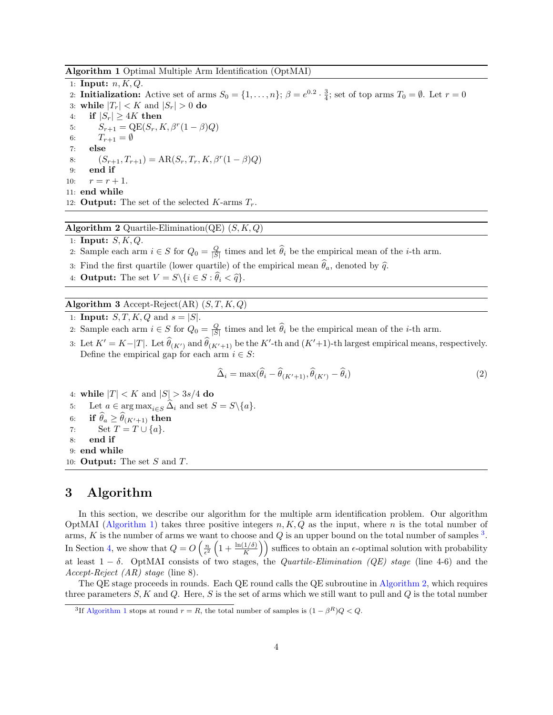<span id="page-3-1"></span>Algorithm 1 Optimal Multiple Arm Identification (OptMAI)

1: Input:  $n, K, Q$ . 2: **Initialization:** Active set of arms  $S_0 = \{1, ..., n\}$ ;  $\beta = e^{0.2} \cdot \frac{3}{4}$ ; set of top arms  $T_0 = \emptyset$ . Let  $r = 0$ 3: while  $|T_r| < K$  and  $|S_r| > 0$  do 4: if  $|S_r| > 4K$  then 5:  $S_{r+1} = \text{QE}(S_r, K, \beta^r(1-\beta)Q)$ 6:  $T_{r+1} = \emptyset$ 7: else 8:  $(S_{r+1}, T_{r+1}) = AR(S_r, T_r, K, \beta^r (1 - \beta) Q)$ 9: end if 10:  $r = r + 1$ . 11: end while 12: **Output:** The set of the selected  $K$ -arms  $T_r$ .

<span id="page-3-3"></span>Algorithm 2 Quartile-Elimination(QE)  $(S, K, Q)$ 

- 1: Input:  $S, K, Q$ .
- 2: Sample each arm  $i \in S$  for  $Q_0 = \frac{Q}{|S|}$  times and let  $\hat{\theta}_i$  be the empirical mean of the *i*-th arm.
- 3: Find the first quartile (lower quartile) of the empirical mean  $\hat{\theta}_a$ , denoted by  $\hat{q}$ .
- 4: **Output:** The set  $V = S \setminus \{i \in S : \theta_i < \hat{q}\}.$

<span id="page-3-4"></span>Algorithm 3 Accept-Reject(AR)  $(S, T, K, Q)$ 

- 1: **Input:**  $S, T, K, Q$  and  $s = |S|$ .
- 2: Sample each arm  $i \in S$  for  $Q_0 = \frac{Q}{|S|}$  times and let  $\hat{\theta}_i$  be the empirical mean of the *i*-th arm.
- 3: Let  $K' = K |T|$ . Let  $\widehat{\theta}_{(K')}$  and  $\widehat{\theta}_{(K'+1)}$  be the K'-th and  $(K'+1)$ -th largest empirical means, respectively. Define the empirical gap for each arm  $i \in S$ :

<span id="page-3-5"></span>
$$
\widehat{\Delta}_i = \max(\widehat{\theta}_i - \widehat{\theta}_{(K'+1)}, \widehat{\theta}_{(K')} - \widehat{\theta}_i)
$$
\n(2)

4: while  $|T| < K$  and  $|S| > 3s/4$  do

5: Let  $a \in \arg \max_{i \in S} \Delta_i$  and set  $S = S \setminus \{a\}.$ 

6: if  $\theta_a \geq \theta_{(K'+1)}$  then 7: Set  $T = T \cup \{a\}.$ 

8: end if 9: end while

10: **Output:** The set  $S$  and  $T$ .

### <span id="page-3-0"></span>3 Algorithm

In this section, we describe our algorithm for the multiple arm identification problem. Our algorithm OptMAI [\(Algorithm 1\)](#page-3-1) takes three positive integers  $n, K, Q$  as the input, where n is the total number of arms, K is the number of arms we want to choose and Q is an upper bound on the total number of samples  $^3$  $^3$ . In Section [4,](#page-4-0) we show that  $Q = O\left(\frac{n}{\epsilon^2}\left(1 + \frac{\ln(1/\delta)}{K}\right)\right)$  suffices to obtain an  $\epsilon$ -optimal solution with probability at least  $1 - \delta$ . OptMAI consists of two stages, the *Quartile-Elimination (QE) stage* (line 4-6) and the Accept-Reject (AR) stage (line 8).

The QE stage proceeds in rounds. Each QE round calls the QE subroutine in [Algorithm 2,](#page-3-3) which requires three parameters  $S, K$  and  $Q$ . Here,  $S$  is the set of arms which we still want to pull and  $Q$  is the total number

<span id="page-3-2"></span><sup>&</sup>lt;sup>3</sup>If [Algorithm 1](#page-3-1) stops at round  $r = R$ , the total number of samples is  $(1 - \beta^R)Q < Q$ .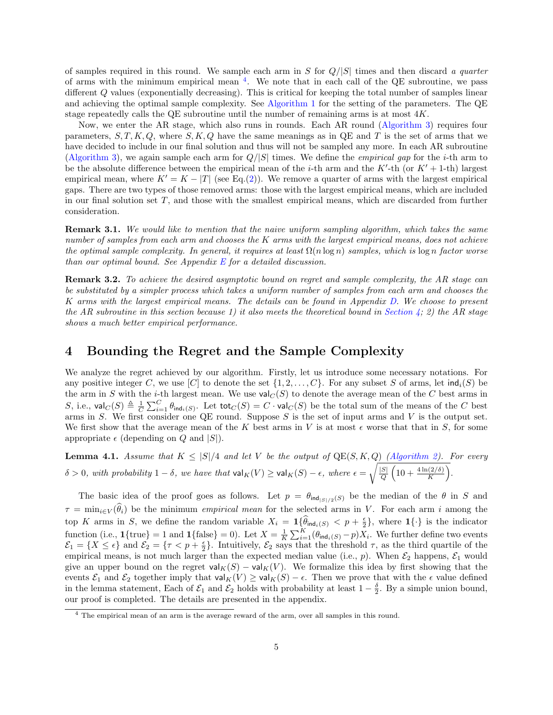of samples required in this round. We sample each arm in S for  $Q/|S|$  times and then discard a quarter of arms with the minimum empirical mean [4](#page-4-1) . We note that in each call of the QE subroutine, we pass different Q values (exponentially decreasing). This is critical for keeping the total number of samples linear and achieving the optimal sample complexity. See [Algorithm 1](#page-3-1) for the setting of the parameters. The QE stage repeatedly calls the QE subroutine until the number of remaining arms is at most 4K.

Now, we enter the AR stage, which also runs in rounds. Each AR round [\(Algorithm 3\)](#page-3-4) requires four parameters,  $S, T, K, Q$ , where  $S, K, Q$  have the same meanings as in QE and T is the set of arms that we have decided to include in our final solution and thus will not be sampled any more. In each AR subroutine [\(Algorithm 3\)](#page-3-4), we again sample each arm for  $Q/|S|$  times. We define the *empirical gap* for the *i*-th arm to be the absolute difference between the empirical mean of the *i*-th arm and the  $K'$ -th (or  $K' + 1$ -th) largest empirical mean, where  $K' = K - |T|$  (see Eq.[\(2\)](#page-3-5)). We remove a quarter of arms with the largest empirical gaps. There are two types of those removed arms: those with the largest empirical means, which are included in our final solution set  $T$ , and those with the smallest empirical means, which are discarded from further consideration.

Remark 3.1. We would like to mention that the naive uniform sampling algorithm, which takes the same number of samples from each arm and chooses the K arms with the largest empirical means, does not achieve the optimal sample complexity. In general, it requires at least  $\Omega(n \log n)$  samples, which is  $\log n$  factor worse than our optimal bound. See Appendix  $E$  for a detailed discussion.

Remark 3.2. To achieve the desired asymptotic bound on regret and sample complexity, the AR stage can be substituted by a simpler process which takes a uniform number of samples from each arm and chooses the K arms with the largest empirical means. The details can be found in Appendix [D.](#page-17-0) We choose to present the AR subroutine in this section because 1) it also meets the theoretical bound in [Section 4;](#page-4-0) 2) the AR stage shows a much better empirical performance.

#### <span id="page-4-0"></span>4 Bounding the Regret and the Sample Complexity

We analyze the regret achieved by our algorithm. Firstly, let us introduce some necessary notations. For any positive integer C, we use [C] to denote the set  $\{1, 2, \ldots, C\}$ . For any subset S of arms, let  $\text{ind}_i(S)$  be the arm in S with the *i*-th largest mean. We use  $\mathsf{val}_C(S)$  to denote the average mean of the C best arms in S, i.e.,  $\mathsf{val}_C(S) \triangleq \frac{1}{C} \sum_{i=1}^C \theta_{\mathsf{ind}_i(S)}$ . Let  $\mathsf{tot}_C(S) = C \cdot \mathsf{val}_C(S)$  be the total sum of the means of the  $C$  best arms in  $S$ . We first consider one QE round. Suppose  $S$  is the set of input arms and  $V$  is the output set. We first show that the average mean of the K best arms in V is at most  $\epsilon$  worse that that in S, for some appropriate  $\epsilon$  (depending on Q and  $|S|$ ).

<span id="page-4-2"></span>**Lemma 4.1.** Assume that  $K \leq |S|/4$  and let V be the output of  $QE(S, K, Q)$  [\(Algorithm 2\)](#page-3-3). For every  $\delta > 0$ , with probability  $1 - \delta$ , we have that  $\mathsf{val}_K(V) \geq \mathsf{val}_K(S) - \epsilon$ , where  $\epsilon = \sqrt{\frac{|S|}{O}}$  $\frac{S}{Q}\left(10+\frac{4\ln(2/\delta)}{K}\right).$ 

The basic idea of the proof goes as follows. Let  $p = \theta_{ind_{|S|/2}(S)}$  be the median of the  $\theta$  in S and  $\tau = \min_{i \in V}(\hat{\theta}_i)$  be the minimum *empirical mean* for the selected arms in V. For each arm i among the top K arms in S, we define the random variable  $X_i = \mathbf{1} \{\widehat{\theta}_{ind_i(S)} < p + \frac{\epsilon}{2}\}\$ , where  $\mathbf{1}\{\cdot\}$  is the indicator 2 function (i.e.,  $\mathbf{1}\{\text{true}\}=1$  and  $\mathbf{1}\{\text{false}\}=0$ ). Let  $X=\frac{1}{K}\sum_{i=1}^{K}(\theta_{\text{ind}_i(S)}-p)X_i$ . We further define two events  $\mathcal{E}_1 = \{X \leq \epsilon\}$  and  $\mathcal{E}_2 = \{\tau \leq p + \frac{\epsilon}{2}\}\$ . Intuitively,  $\mathcal{E}_2$  says that the threshold  $\tau$ , as the third quartile of the empirical means, is not much larger than the expected median value (i.e., p). When  $\mathcal{E}_2$  happens,  $\mathcal{E}_1$  would give an upper bound on the regret  $\mathsf{val}_K(S) - \mathsf{val}_K(V)$ . We formalize this idea by first showing that the events  $\mathcal{E}_1$  and  $\mathcal{E}_2$  together imply that val<sub>K</sub>(V)  $\geq$  val<sub>K</sub>(S) –  $\epsilon$ . Then we prove that with the  $\epsilon$  value defined in the lemma statement, Each of  $\mathcal{E}_1$  and  $\mathcal{E}_2$  holds with probability at least  $1-\frac{\delta}{2}$ . By a simple union bound, our proof is completed. The details are presented in the appendix.

<span id="page-4-1"></span><sup>4</sup> The empirical mean of an arm is the average reward of the arm, over all samples in this round.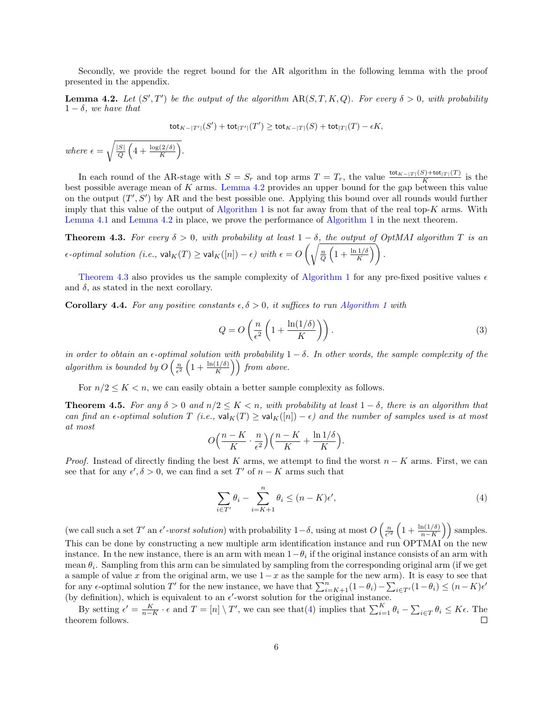Secondly, we provide the regret bound for the AR algorithm in the following lemma with the proof presented in the appendix.

<span id="page-5-0"></span>**Lemma 4.2.** Let  $(S', T')$  be the output of the algorithm  $AR(S, T, K, Q)$ . For every  $\delta > 0$ , with probability  $1 - \delta$ , we have that

$$
\mathsf{tot}_{K-|T'|}(S') + \mathsf{tot}_{|T'|}(T') \geq \mathsf{tot}_{K-|T|}(S) + \mathsf{tot}_{|T|}(T) - \epsilon K,
$$

where  $\epsilon = \sqrt{\frac{|S|}{O}}$  $\frac{|S|}{Q}\left(4+\frac{\log(2/\delta)}{K}\right).$ 

In each round of the AR-stage with  $S = S_r$  and top arms  $T = T_r$ , the value  $\frac{\text{tot}_{K-|T|}(S) + \text{tot}_{|T|}(T)}{K}$  is the best possible average mean of K arms. [Lemma 4.2](#page-5-0) provides an upper bound for the gap between this value on the output  $(T', S')$  by AR and the best possible one. Applying this bound over all rounds would further imply that this value of the output of [Algorithm 1](#page-3-1) is not far away from that of the real top-K arms. With [Lemma 4.1](#page-4-2) and [Lemma 4.2](#page-5-0) in place, we prove the performance of [Algorithm 1](#page-3-1) in the next theorem.

<span id="page-5-1"></span>**Theorem 4.3.** For every  $\delta > 0$ , with probability at least  $1 - \delta$ , the output of OptMAI algorithm T is an  $\epsilon\text{-}optimal \ solution \ (i.e., \ \mathsf{val}_K(T) \geq \mathsf{val}_K([n])-\epsilon) \ \ with \ \epsilon = O\left(\sqrt{\frac{n}{Q}\left(1+\frac{\ln 1/\delta}{K}\right)}\right).$ 

[Theorem 4.3](#page-5-1) also provides us the sample complexity of [Algorithm 1](#page-3-1) for any pre-fixed positive values  $\epsilon$ and  $\delta$ , as stated in the next corollary.

<span id="page-5-3"></span>**Corollary 4.4.** For any positive constants  $\epsilon, \delta > 0$ , it suffices to run [Algorithm 1](#page-3-1) with

$$
Q = O\left(\frac{n}{\epsilon^2} \left(1 + \frac{\ln(1/\delta)}{K}\right)\right). \tag{3}
$$

in order to obtain an  $\epsilon$ -optimal solution with probability  $1-\delta$ . In other words, the sample complexity of the algorithm is bounded by  $O\left(\frac{n}{\epsilon^2}\left(1+\frac{\ln(1/\delta)}{K}\right)\right)$  from above.

For  $n/2 \leq K < n$ , we can easily obtain a better sample complexity as follows.

<span id="page-5-4"></span>**Theorem 4.5.** For any  $\delta > 0$  and  $n/2 \leq K < n$ , with probability at least  $1 - \delta$ , there is an algorithm that can find an  $\epsilon$ -optimal solution  $T$  (i.e.,  $\mathsf{val}_{K}(T) \geq \mathsf{val}_{K}([n]) - \epsilon$ ) and the number of samples used is at most at most

$$
O\Big(\frac{n-K}{K}\cdot\frac{n}{\epsilon^2}\Big)\Big(\frac{n-K}{K}+\frac{\ln 1/\delta}{K}\Big).
$$

*Proof.* Instead of directly finding the best K arms, we attempt to find the worst  $n - K$  arms. First, we can see that for any  $\epsilon', \delta > 0$ , we can find a set T' of  $n - K$  arms such that

<span id="page-5-2"></span>
$$
\sum_{i \in T'} \theta_i - \sum_{i=K+1}^n \theta_i \le (n - K)\epsilon',\tag{4}
$$

(we call such a set T' an  $\epsilon'$ -worst solution) with probability  $1-\delta$ , using at most  $O\left(\frac{n}{\epsilon'^2}\left(1+\frac{\ln(1/\delta)}{n-K}\right)\right)$  samples. This can be done by constructing a new multiple arm identification instance and run OPTMAI on the new instance. In the new instance, there is an arm with mean  $1-\theta_i$  if the original instance consists of an arm with mean  $\theta_i$ . Sampling from this arm can be simulated by sampling from the corresponding original arm (if we get a sample of value x from the original arm, we use  $1-x$  as the sample for the new arm). It is easy to see that for any  $\epsilon$ -optimal solution T' for the new instance, we have that  $\sum_{i=K+1}^{n} (1-\theta_i) - \sum_{i \in T'} (1-\theta_i) \leq (n-K)\epsilon'$ (by definition), which is equivalent to an  $\epsilon'$ -worst solution for the original instance.

By setting  $\epsilon' = \frac{K}{n-K} \cdot \epsilon$  and  $T = [n] \setminus T'$ , we can see that  $(4)$  implies that  $\sum_{i=1}^{K} \theta_i - \sum_{i \in T} \theta_i \leq K \epsilon$ . The theorem follows.  $\Box$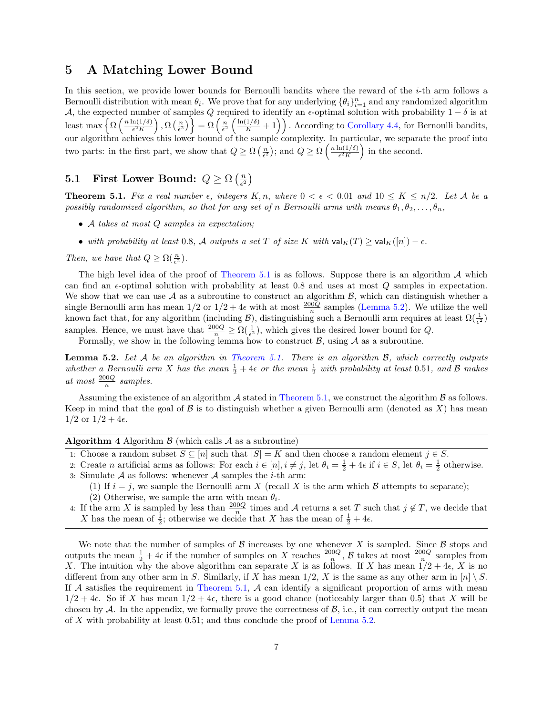#### <span id="page-6-0"></span>5 A Matching Lower Bound

In this section, we provide lower bounds for Bernoulli bandits where the reward of the  $i$ -th arm follows a Bernoulli distribution with mean  $\theta_i$ . We prove that for any underlying  $\{\theta_i\}_{i=1}^n$  and any randomized algorithm A, the expected number of samples Q required to identify an  $\epsilon$ -optimal solution with probability  $1 - \delta$  is at least max  $\left\{ \Omega \left( \frac{n \ln(1/\delta)}{\epsilon^2 K} \right) \right\}$  $\left\{\frac{\ln(1/\delta)}{\epsilon^2 K}\right\}, \Omega\left(\frac{n}{\epsilon^2}\right)\right\} = \Omega\left(\frac{n}{\epsilon^2}\left(\frac{\ln(1/\delta)}{K}+1\right)\right).$  According to [Corollary 4.4,](#page-5-3) for Bernoulli bandits, our algorithm achieves this lower bound of the sample complexity. In particular, we separate the proof into two parts: in the first part, we show that  $Q \geq \Omega\left(\frac{n}{\epsilon^2}\right)$ ; and  $Q \geq \Omega\left(\frac{n \ln(1/\delta)}{\epsilon^2 K}\right)$  $\frac{n(1/\delta)}{\epsilon^2 K}$  in the second.

#### 5.1 First Lower Bound:  $Q \ge \Omega\left(\frac{n}{\epsilon^2}\right)$  $\frac{n}{\epsilon^2}\Big)$

<span id="page-6-1"></span>**Theorem 5.1.** Fix a real number  $\epsilon$ , integers  $K, n$ , where  $0 < \epsilon < 0.01$  and  $10 \leq K \leq n/2$ . Let A be a possibly randomized algorithm, so that for any set of n Bernoulli arms with means  $\theta_1, \theta_2, \ldots, \theta_n$ ,

- A takes at most Q samples in expectation;
- with probability at least 0.8, A outputs a set T of size K with  $\mathsf{val}_K(T) \geq \mathsf{val}_K([n]) \epsilon$ .

Then, we have that  $Q \ge \Omega(\frac{n}{\epsilon^2})$ .

The high level idea of the proof of [Theorem 5.1](#page-6-1) is as follows. Suppose there is an algorithm  $\mathcal A$  which can find an  $\epsilon$ -optimal solution with probability at least 0.8 and uses at most Q samples in expectation. We show that we can use  $A$  as a subroutine to construct an algorithm  $B$ , which can distinguish whether a single Bernoulli arm has mean  $1/2$  or  $1/2 + 4\epsilon$  with at most  $\frac{200Q}{n}$  samples [\(Lemma 5.2\)](#page-6-2). We utilize the well known fact that, for any algorithm (including  $\mathcal{B}$ ), distinguishing such a Bernoulli arm requires at least  $\Omega(\frac{1}{\epsilon^2})$ samples. Hence, we must have that  $\frac{200Q}{n} \ge \Omega(\frac{1}{\epsilon^2})$ , which gives the desired lower bound for Q.

Formally, we show in the following lemma how to construct  $\mathcal{B}$ , using  $\mathcal{A}$  as a subroutine.

<span id="page-6-2"></span>**Lemma 5.2.** Let  $A$  be an algorithm in [Theorem 5.1.](#page-6-1) There is an algorithm  $B$ , which correctly outputs whether a Bernoulli arm X has the mean  $\frac{1}{2} + 4\epsilon$  or the mean  $\frac{1}{2}$  with probability at least 0.51, and B makes at most  $\frac{200Q}{n}$  samples.

Assuming the existence of an algorithm  $A$  stated in [Theorem 5.1,](#page-6-1) we construct the algorithm  $B$  as follows. Keep in mind that the goal of  $\beta$  is to distinguish whether a given Bernoulli arm (denoted as X) has mean  $1/2 \text{ or } 1/2 + 4\epsilon.$ 

#### Algorithm 4 Algorithm  $\beta$  (which calls  $\lambda$  as a subroutine)

1: Choose a random subset  $S \subseteq [n]$  such that  $|S| = K$  and then choose a random element  $j \in S$ .

- 2: Create *n* artificial arms as follows: For each  $i \in [n], i \neq j$ , let  $\theta_i = \frac{1}{2} + 4\epsilon$  if  $i \in S$ , let  $\theta_i = \frac{1}{2}$  otherwise. 3: Simulate  $A$  as follows: whenever  $A$  samples the *i*-th arm:
	- (1) If  $i = j$ , we sample the Bernoulli arm X (recall X is the arm which B attempts to separate);
	- (2) Otherwise, we sample the arm with mean  $\theta_i$ .
- 4: If the arm X is sampled by less than  $\frac{200Q}{n}$  times and A returns a set T such that  $j \notin T$ , we decide that X has the mean of  $\frac{1}{2}$ ; otherwise we decide that X has the mean of  $\frac{1}{2} + 4\epsilon$ .

We note that the number of samples of  $\beta$  increases by one whenever X is sampled. Since  $\beta$  stops and outputs the mean  $\frac{1}{2} + 4\epsilon$  if the number of samples on X reaches  $\frac{200Q}{n}$ , B takes at most  $\frac{200Q}{n}$  samples from X. The intuition why the above algorithm can separate X is as follows. If X has mean  $1/2 + 4\epsilon$ , X is no different from any other arm in S. Similarly, if X has mean  $1/2$ , X is the same as any other arm in [n] \ S. If  $A$  satisfies the requirement in [Theorem 5.1,](#page-6-1)  $A$  can identify a significant proportion of arms with mean  $1/2 + 4\epsilon$ . So if X has mean  $1/2 + 4\epsilon$ , there is a good chance (noticeably larger than 0.5) that X will be chosen by  $\mathcal A$ . In the appendix, we formally prove the correctness of  $\mathcal B$ , i.e., it can correctly output the mean of X with probability at least 0.51; and thus conclude the proof of [Lemma 5.2.](#page-6-2)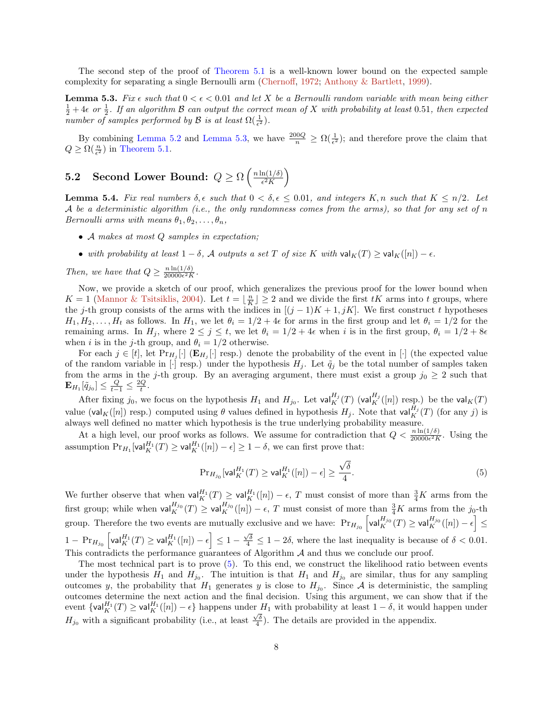<span id="page-7-3"></span>The second step of the proof of [Theorem 5.1](#page-6-1) is a well-known lower bound on the expected sample complexity for separating a single Bernoulli arm [\(Chernoff,](#page-11-16) [1972;](#page-11-16) [Anthony & Bartlett,](#page-10-4) [1999\)](#page-10-4).

<span id="page-7-0"></span>**Lemma 5.3.** Fix  $\epsilon$  such that  $0 < \epsilon < 0.01$  and let X be a Bernoulli random variable with mean being either  $\frac{1}{2} + 4\epsilon$  or  $\frac{1}{2}$ . If an algorithm B can output the correct mean of X with probability at least 0.51, then expected number of samples performed by  $\mathcal B$  is at least  $\Omega(\frac{1}{\epsilon^2})$ .

By combining [Lemma 5.2](#page-6-2) and [Lemma 5.3,](#page-7-0) we have  $\frac{200Q}{n} \ge \Omega(\frac{1}{\epsilon^2})$ ; and therefore prove the claim that  $Q \ge \Omega(\frac{n}{\epsilon^2})$  in [Theorem 5.1.](#page-6-1)

#### **5.2** Second Lower Bound:  $Q \ge \Omega \left( \frac{n \ln(1/\delta)}{\epsilon^2 K} \right)$  $\frac{n(1/\delta)}{\epsilon^2 K}$

<span id="page-7-2"></span>**Lemma 5.4.** Fix real numbers  $\delta$ ,  $\epsilon$  such that  $0 < \delta$ ,  $\epsilon \leq 0.01$ , and integers K, n such that  $K \leq n/2$ . Let A be a deterministic algorithm (i.e., the only randomness comes from the arms), so that for any set of n Bernoulli arms with means  $\theta_1, \theta_2, \ldots, \theta_n$ ,

- A makes at most Q samples in expectation;
- with probability at least  $1 \delta$ , A outputs a set T of size K with  $\operatorname{val}_K(T) \ge \operatorname{val}_K([n]) \epsilon$ .

Then, we have that  $Q \geq \frac{n \ln(1/\delta)}{20000\epsilon^2 R}$  $\overline{20000\epsilon^2K}$ .

Now, we provide a sketch of our proof, which generalizes the previous proof for the lower bound when  $K = 1$  [\(Mannor & Tsitsiklis,](#page-11-10) [2004\)](#page-11-10). Let  $t = \lfloor \frac{n}{K} \rfloor \geq 2$  and we divide the first  $tK$  arms into t groups, where the j-th group consists of the arms with the indices in  $[(j-1)K+1, jK]$ . We first construct t hypotheses  $H_1, H_2, \ldots, H_t$  as follows. In  $H_1$ , we let  $\theta_i = 1/2 + 4\epsilon$  for arms in the first group and let  $\theta_i = 1/2$  for the remaining arms. In  $H_j$ , where  $2 \le j \le t$ , we let  $\theta_i = 1/2 + 4\epsilon$  when i is in the first group,  $\theta_i = 1/2 + 8\epsilon$ when *i* is in the *j*-th group, and  $\theta_i = 1/2$  otherwise.

For each  $j \in [t]$ , let  $Pr_{H_j}[\cdot]$  ( $\mathbf{E}_{H_j}[\cdot]$  resp.) denote the probability of the event in [ $\cdot$ ] (the expected value of the random variable in [·] resp.) under the hypothesis  $H_j$ . Let  $\tilde{q}_j$  be the total number of samples taken from the arms in the j-th group. By an averaging argument, there must exist a group  $j_0 \geq 2$  such that  $\mathbf{E}_{H_1}[\tilde{q}_{j_0}]\leq \frac{Q}{t-1}\leq \frac{2Q}{t}.$ 

After fixing  $j_0$ , we focus on the hypothesis  $H_1$  and  $H_{j_0}$ . Let val $K^{H_j}(T)$  (val $K^{H_j}([n])$  resp.) be the val $K(T)$ value (val<sub>K</sub>([n]) resp.) computed using  $\theta$  values defined in hypothesis  $H_j$ . Note that val<sub>K</sub><sup>H<sub>j</sub></sup>(T) (for any j) is always well defined no matter which hypothesis is the true underlying probability measure.

At a high level, our proof works as follows. We assume for contradiction that  $Q < \frac{n \ln(1/\delta)}{20000\epsilon^2 K}$ . Using the assumption  $Pr_{H_1}[\text{val}_K^{H_1}(T) \ge \text{val}_K^{H_1}([n]) - \epsilon] \ge 1 - \delta$ , we can first prove that:

<span id="page-7-1"></span>
$$
\Pr_{H_{j_0}}[\text{val}_K^{H_1}(T) \ge \text{val}_K^{H_1}([n]) - \epsilon] \ge \frac{\sqrt{\delta}}{4}.\tag{5}
$$

We further observe that when  $\mathsf{val}_{K}^{H_1}(T) \geq \mathsf{val}_{K}^{H_1}([n]) - \epsilon$ , T must consist of more than  $\frac{3}{4}K$  arms from the first group; while when  $\mathsf{val}_{K}^{H_{j_0}}(T) \geq \mathsf{val}_{K}^{H_{j_0}}([n]) - \epsilon$ , T must consist of more than  $\frac{3}{4}K$  arms from the j<sub>0</sub>-th group. Therefore the two events are mutually exclusive and we have:  $Pr_{H_{j_0}}\left[\text{val}_{K}^{H_{j_0}}(T) \geq \text{val}_{K}^{H_{j_0}}([n]) - \epsilon\right] \leq$  $1 - \Pr_{H_{j_0}} \left[ \text{val}_{K}^{H_1}(T) \geq \text{val}_{K}^{H_1}([n]) - \epsilon \right] \leq 1 - \frac{\sqrt{\delta}}{4} \leq 1 - 2\delta$ , where the last inequality is because of  $\delta < 0.01$ . This contradicts the performance guarantees of Algorithm  $A$  and thus we conclude our proof.

The most technical part is to prove [\(5\)](#page-7-1). To this end, we construct the likelihood ratio between events under the hypothesis  $H_1$  and  $H_{j_0}$ . The intuition is that  $H_1$  and  $H_{j_0}$  are similar, thus for any sampling outcomes y, the probability that  $H_1$  generates y is close to  $H_{j_0}$ . Since A is deterministic, the sampling outcomes determine the next action and the final decision. Using this argument, we can show that if the event  $\{\text{val}_{K}^{H_1}(T) \geq \text{val}_{K}^{H_1}([n]) - \epsilon\}$  happens under  $H_1$  with probability at least  $1 - \delta$ , it would happen under  $H_{j_0}$  with a significant probability (i.e., at least  $\frac{\sqrt{\delta}}{4}$ ). The details are provided in the appendix.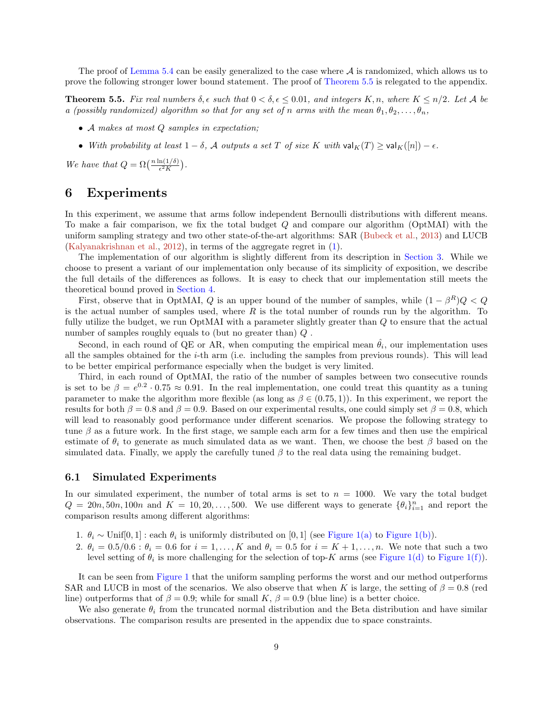<span id="page-8-2"></span>The proof of [Lemma 5.4](#page-7-2) can be easily generalized to the case where  $A$  is randomized, which allows us to prove the following stronger lower bound statement. The proof of [Theorem 5.5](#page-8-1) is relegated to the appendix.

<span id="page-8-1"></span>**Theorem 5.5.** Fix real numbers  $\delta, \epsilon$  such that  $0 < \delta, \epsilon \leq 0.01$ , and integers K, n, where  $K \leq n/2$ . Let A be a (possibly randomized) algorithm so that for any set of n arms with the mean  $\theta_1, \theta_2, \ldots, \theta_n$ ,

- A makes at most Q samples in expectation;
- With probability at least  $1 \delta$ , A outputs a set T of size K with  $\operatorname{val}_K(T) \ge \operatorname{val}_K([n]) \epsilon$ .

We have that  $Q = \Omega\left(\frac{n \ln(1/\delta)}{\epsilon^2 K}\right)$ .

### <span id="page-8-0"></span>6 Experiments

In this experiment, we assume that arms follow independent Bernoulli distributions with different means. To make a fair comparison, we fix the total budget Q and compare our algorithm (OptMAI) with the uniform sampling strategy and two other state-of-the-art algorithms: SAR [\(Bubeck et al.,](#page-11-0) [2013\)](#page-11-0) and LUCB [\(Kalyanakrishnan et al.,](#page-11-11) [2012\)](#page-11-11), in terms of the aggregate regret in [\(1\)](#page-1-0).

The implementation of our algorithm is slightly different from its description in [Section 3.](#page-3-0) While we choose to present a variant of our implementation only because of its simplicity of exposition, we describe the full details of the differences as follows. It is easy to check that our implementation still meets the theoretical bound proved in [Section 4.](#page-4-0)

First, observe that in OptMAI, Q is an upper bound of the number of samples, while  $(1 - \beta^R)Q < Q$ is the actual number of samples used, where  $R$  is the total number of rounds run by the algorithm. To fully utilize the budget, we run OptMAI with a parameter slightly greater than  $Q$  to ensure that the actual number of samples roughly equals to (but no greater than) Q.

Second, in each round of QE or AR, when computing the empirical mean  $\hat{\theta}_i$ , our implementation uses all the samples obtained for the i-th arm (i.e. including the samples from previous rounds). This will lead to be better empirical performance especially when the budget is very limited.

Third, in each round of OptMAI, the ratio of the number of samples between two consecutive rounds is set to be  $\beta = e^{0.2} \cdot 0.75 \approx 0.91$ . In the real implementation, one could treat this quantity as a tuning parameter to make the algorithm more flexible (as long as  $\beta \in (0.75, 1)$ ). In this experiment, we report the results for both  $\beta = 0.8$  and  $\beta = 0.9$ . Based on our experimental results, one could simply set  $\beta = 0.8$ , which will lead to reasonably good performance under different scenarios. We propose the following strategy to tune  $\beta$  as a future work. In the first stage, we sample each arm for a few times and then use the empirical estimate of  $\theta_i$  to generate as much simulated data as we want. Then, we choose the best  $\beta$  based on the simulated data. Finally, we apply the carefully tuned  $\beta$  to the real data using the remaining budget.

#### 6.1 Simulated Experiments

In our simulated experiment, the number of total arms is set to  $n = 1000$ . We vary the total budget  $Q = 20n, 50n, 100n$  and  $K = 10, 20, \ldots, 500$ . We use different ways to generate  $\{\theta_i\}_{i=1}^n$  and report the comparison results among different algorithms:

- 1.  $\theta_i \sim \text{Unif}[0,1]:$  each  $\theta_i$  is uniformly distributed on  $[0,1]$  (see [Figure 1\(a\)](#page-9-0) to [Figure 1\(b\)\)](#page-9-1).
- 2.  $\theta_i = 0.5/0.6$ :  $\theta_i = 0.6$  for  $i = 1, ..., K$  and  $\theta_i = 0.5$  for  $i = K + 1, ..., n$ . We note that such a two level setting of  $\theta_i$  is more challenging for the selection of top-K arms (see [Figure 1\(d\)](#page-9-2) to [Figure 1\(f\)\)](#page-9-3).

It can be seen from [Figure 1](#page-9-4) that the uniform sampling performs the worst and our method outperforms SAR and LUCB in most of the scenarios. We also observe that when K is large, the setting of  $\beta = 0.8$  (red line) outperforms that of  $\beta = 0.9$ ; while for small K,  $\beta = 0.9$  (blue line) is a better choice.

We also generate  $\theta_i$  from the truncated normal distribution and the Beta distribution and have similar observations. The comparison results are presented in the appendix due to space constraints.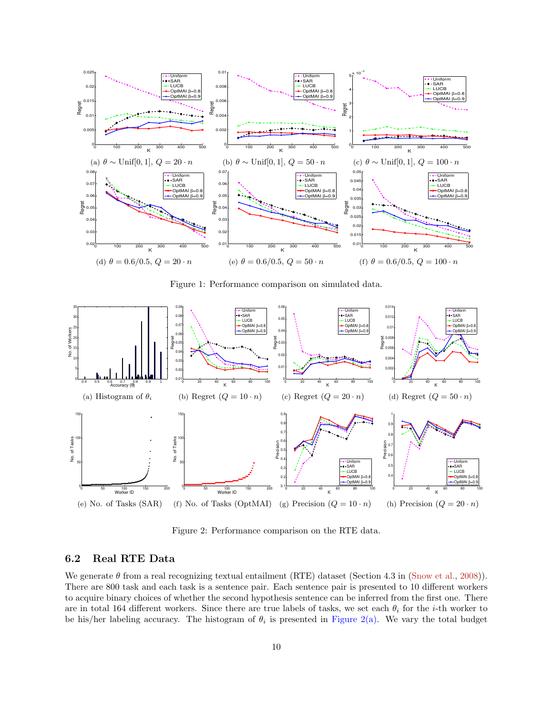<span id="page-9-12"></span><span id="page-9-0"></span>

<span id="page-9-7"></span><span id="page-9-6"></span><span id="page-9-4"></span><span id="page-9-3"></span><span id="page-9-1"></span>Figure 1: Performance comparison on simulated data.

<span id="page-9-5"></span><span id="page-9-2"></span>

<span id="page-9-11"></span><span id="page-9-10"></span><span id="page-9-9"></span>Figure 2: Performance comparison on the RTE data.

#### <span id="page-9-8"></span>6.2 Real RTE Data

We generate  $\theta$  from a real recognizing textual entailment (RTE) dataset (Section 4.3 in [\(Snow et al.,](#page-12-3) [2008\)](#page-12-3)). There are 800 task and each task is a sentence pair. Each sentence pair is presented to 10 different workers to acquire binary choices of whether the second hypothesis sentence can be inferred from the first one. There are in total 164 different workers. Since there are true labels of tasks, we set each  $\theta_i$  for the *i*-th worker to be his/her labeling accuracy. The histogram of  $\theta_i$  is presented in [Figure 2\(a\).](#page-9-5) We vary the total budget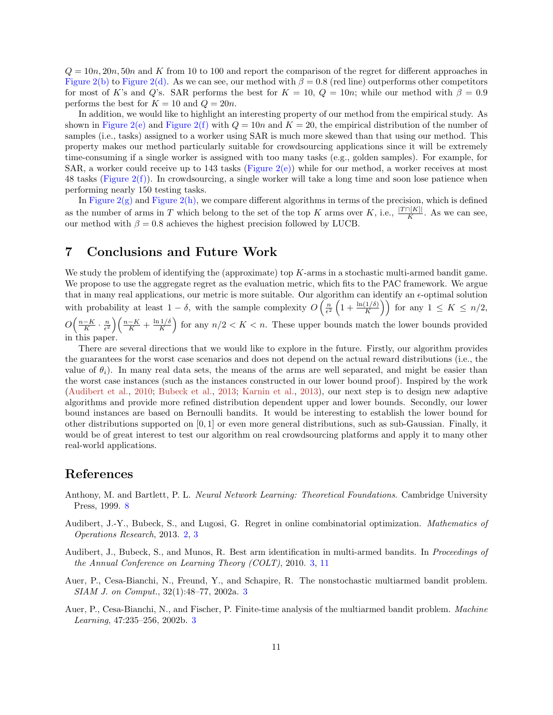<span id="page-10-5"></span> $Q = 10n$ ,  $20n$ ,  $50n$  and K from 10 to 100 and report the comparison of the regret for different approaches in [Figure 2\(b\)](#page-9-6) to [Figure 2\(d\).](#page-9-7) As we can see, our method with  $\beta = 0.8$  (red line) outperforms other competitors for most of K's and Q's. SAR performs the best for  $K = 10$ ,  $Q = 10n$ ; while our method with  $\beta = 0.9$ performs the best for  $K = 10$  and  $Q = 20n$ .

In addition, we would like to highlight an interesting property of our method from the empirical study. As shown in [Figure 2\(e\)](#page-9-8) and [Figure 2\(f\)](#page-9-9) with  $Q = 10n$  and  $K = 20$ , the empirical distribution of the number of samples (i.e., tasks) assigned to a worker using SAR is much more skewed than that using our method. This property makes our method particularly suitable for crowdsourcing applications since it will be extremely time-consuming if a single worker is assigned with too many tasks (e.g., golden samples). For example, for SAR, a worker could receive up to 143 tasks [\(Figure 2\(e\)\)](#page-9-8) while for our method, a worker receives at most 48 tasks [\(Figure 2\(f\)\)](#page-9-9). In crowdsourcing, a single worker will take a long time and soon lose patience when performing nearly 150 testing tasks.

In Figure  $2(g)$  and Figure  $2(h)$ , we compare different algorithms in terms of the precision, which is defined as the number of arms in T which belong to the set of the top K arms over K, i.e.,  $\frac{|T \cap [K]|}{K}$ . As we can see, our method with  $\beta = 0.8$  achieves the highest precision followed by LUCB.

### 7 Conclusions and Future Work

We study the problem of identifying the (approximate) top K-arms in a stochastic multi-armed bandit game. We propose to use the aggregate regret as the evaluation metric, which fits to the PAC framework. We argue that in many real applications, our metric is more suitable. Our algorithm can identify an  $\epsilon$ -optimal solution with probability at least  $1 - \delta$ , with the sample complexity  $O\left(\frac{n}{\epsilon^2}\left(1 + \frac{\ln(1/\delta)}{K}\right)\right)$  for any  $1 \leq K \leq n/2$ ,  $O\Big(\frac{n-K}{K}\cdot\frac{n}{\epsilon^2}\Big)\Big(\frac{n-K}{K}+\frac{\ln 1/\delta}{K}$  $\frac{1/\delta}{K}$  for any  $n/2 < K < n$ . These upper bounds match the lower bounds provided in this paper.

There are several directions that we would like to explore in the future. Firstly, our algorithm provides the guarantees for the worst case scenarios and does not depend on the actual reward distributions (i.e., the value of  $\theta_i$ ). In many real data sets, the means of the arms are well separated, and might be easier than the worst case instances (such as the instances constructed in our lower bound proof). Inspired by the work [\(Audibert et al.,](#page-10-3) [2010;](#page-10-3) [Bubeck et al.,](#page-11-0) [2013;](#page-11-0) [Karnin et al.,](#page-11-12) [2013\)](#page-11-12), our next step is to design new adaptive algorithms and provide more refined distribution dependent upper and lower bounds. Secondly, our lower bound instances are based on Bernoulli bandits. It would be interesting to establish the lower bound for other distributions supported on [0, 1] or even more general distributions, such as sub-Gaussian. Finally, it would be of great interest to test our algorithm on real crowdsourcing platforms and apply it to many other real-world applications.

### References

- <span id="page-10-4"></span>Anthony, M. and Bartlett, P. L. Neural Network Learning: Theoretical Foundations. Cambridge University Press, 1999. [8](#page-7-3)
- <span id="page-10-0"></span>Audibert, J.-Y., Bubeck, S., and Lugosi, G. Regret in online combinatorial optimization. Mathematics of Operations Research, 2013. [2,](#page-1-1) [3](#page-2-2)
- <span id="page-10-3"></span>Audibert, J., Bubeck, S., and Munos, R. Best arm identification in multi-armed bandits. In Proceedings of the Annual Conference on Learning Theory (COLT), 2010. [3,](#page-2-2) [11](#page-10-5)
- <span id="page-10-1"></span>Auer, P., Cesa-Bianchi, N., Freund, Y., and Schapire, R. The nonstochastic multiarmed bandit problem. SIAM J. on Comput., 32(1):48–77, 2002a. [3](#page-2-2)
- <span id="page-10-2"></span>Auer, P., Cesa-Bianchi, N., and Fischer, P. Finite-time analysis of the multiarmed bandit problem. Machine Learning, 47:235–256, 2002b. [3](#page-2-2)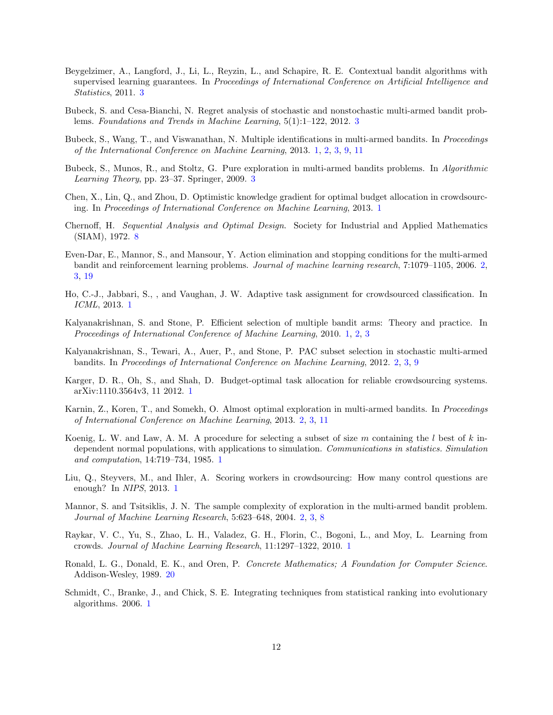- <span id="page-11-13"></span>Beygelzimer, A., Langford, J., Li, L., Reyzin, L., and Schapire, R. E. Contextual bandit algorithms with supervised learning guarantees. In Proceedings of International Conference on Artificial Intelligence and Statistics, 2011. [3](#page-2-2)
- <span id="page-11-14"></span>Bubeck, S. and Cesa-Bianchi, N. Regret analysis of stochastic and nonstochastic multi-armed bandit problems. Foundations and Trends in Machine Learning, 5(1):1–122, 2012. [3](#page-2-2)
- <span id="page-11-0"></span>Bubeck, S., Wang, T., and Viswanathan, N. Multiple identifications in multi-armed bandits. In Proceedings of the International Conference on Machine Learning, 2013. [1,](#page-0-0) [2,](#page-1-1) [3,](#page-2-2) [9,](#page-8-2) [11](#page-10-5)
- <span id="page-11-15"></span>Bubeck, S., Munos, R., and Stoltz, G. Pure exploration in multi-armed bandits problems. In Algorithmic Learning Theory, pp. 23–37. Springer, 2009. [3](#page-2-2)
- <span id="page-11-7"></span>Chen, X., Lin, Q., and Zhou, D. Optimistic knowledge gradient for optimal budget allocation in crowdsourcing. In Proceedings of International Conference on Machine Learning, 2013. [1](#page-0-0)
- <span id="page-11-16"></span>Chernoff, H. Sequential Analysis and Optimal Design. Society for Industrial and Applied Mathematics (SIAM), 1972. [8](#page-7-3)
- <span id="page-11-9"></span>Even-Dar, E., Mannor, S., and Mansour, Y. Action elimination and stopping conditions for the multi-armed bandit and reinforcement learning problems. Journal of machine learning research, 7:1079–1105, 2006. [2,](#page-1-1) [3,](#page-2-2) [19](#page-18-1)
- <span id="page-11-6"></span>Ho, C.-J., Jabbari, S., , and Vaughan, J. W. Adaptive task assignment for crowdsourced classification. In ICML, 2013. [1](#page-0-0)
- <span id="page-11-1"></span>Kalyanakrishnan, S. and Stone, P. Efficient selection of multiple bandit arms: Theory and practice. In Proceedings of International Conference of Machine Learning, 2010. [1,](#page-0-0) [2,](#page-1-1) [3](#page-2-2)
- <span id="page-11-11"></span>Kalyanakrishnan, S., Tewari, A., Auer, P., and Stone, P. PAC subset selection in stochastic multi-armed bandits. In Proceedings of International Conference on Machine Learning, 2012. [2,](#page-1-1) [3,](#page-2-2) [9](#page-8-2)
- <span id="page-11-5"></span>Karger, D. R., Oh, S., and Shah, D. Budget-optimal task allocation for reliable crowdsourcing systems. arXiv:1110.3564v3, 11 2012. [1](#page-0-0)
- <span id="page-11-12"></span>Karnin, Z., Koren, T., and Somekh, O. Almost optimal exploration in multi-armed bandits. In Proceedings of International Conference on Machine Learning, 2013. [2,](#page-1-1) [3,](#page-2-2) [11](#page-10-5)
- <span id="page-11-2"></span>Koenig, L. W. and Law, A. M. A procedure for selecting a subset of size m containing the l best of k independent normal populations, with applications to simulation. Communications in statistics. Simulation and computation, 14:719–734, 1985. [1](#page-0-0)
- <span id="page-11-8"></span>Liu, Q., Steyvers, M., and Ihler, A. Scoring workers in crowdsourcing: How many control questions are enough? In NIPS, 2013. [1](#page-0-0)
- <span id="page-11-10"></span>Mannor, S. and Tsitsiklis, J. N. The sample complexity of exploration in the multi-armed bandit problem. Journal of Machine Learning Research, 5:623–648, 2004. [2,](#page-1-1) [3,](#page-2-2) [8](#page-7-3)
- <span id="page-11-4"></span>Raykar, V. C., Yu, S., Zhao, L. H., Valadez, G. H., Florin, C., Bogoni, L., and Moy, L. Learning from crowds. Journal of Machine Learning Research, 11:1297–1322, 2010. [1](#page-0-0)
- <span id="page-11-17"></span>Ronald, L. G., Donald, E. K., and Oren, P. Concrete Mathematics; A Foundation for Computer Science. Addison-Wesley, 1989. [20](#page-19-0)
- <span id="page-11-3"></span>Schmidt, C., Branke, J., and Chick, S. E. Integrating techniques from statistical ranking into evolutionary algorithms. 2006. [1](#page-0-0)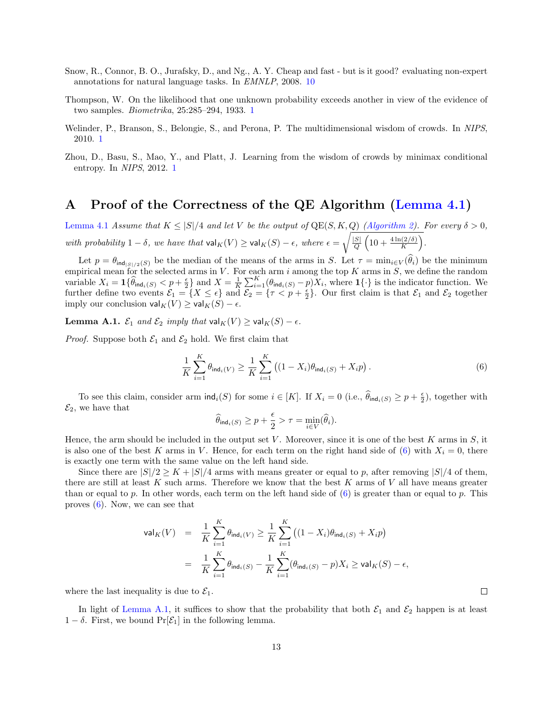- <span id="page-12-3"></span>Snow, R., Connor, B. O., Jurafsky, D., and Ng., A. Y. Cheap and fast - but is it good? evaluating non-expert annotations for natural language tasks. In EMNLP, 2008. [10](#page-9-12)
- <span id="page-12-0"></span>Thompson, W. On the likelihood that one unknown probability exceeds another in view of the evidence of two samples. Biometrika, 25:285–294, 1933. [1](#page-0-0)
- <span id="page-12-1"></span>Welinder, P., Branson, S., Belongie, S., and Perona, P. The multidimensional wisdom of crowds. In NIPS, 2010. [1](#page-0-0)
- <span id="page-12-2"></span>Zhou, D., Basu, S., Mao, Y., and Platt, J. Learning from the wisdom of crowds by minimax conditional entropy. In NIPS, 2012. [1](#page-0-0)

# A Proof of the Correctness of the QE Algorithm [\(Lemma 4.1\)](#page-4-2)

[Lemma 4.1](#page-4-2) Assume that  $K \leq |S|/4$  and let V be the output of  $\text{QE}(S, K, Q)$  [\(Algorithm 2\)](#page-3-3). For every  $\delta > 0$ , with probability  $1 - \delta$ , we have that  $\text{val}_K(V) \ge \text{val}_K(S) - \epsilon$ , where  $\epsilon = \sqrt{\frac{|S|}{\delta}}$  $\frac{S}{Q}\left(10+\frac{4\ln(2/\delta)}{K}\right).$ 

Let  $p = \theta_{\text{ind}_{|S|/2}(S)}$  be the median of the means of the arms in S. Let  $\tau = \min_{i \in V} (\widehat{\theta}_i)$  be the minimum empirical mean for the selected arms in V. For each arm i among the top K arms in S, we define the random variable  $X_i = \mathbf{1} \{\widehat{\theta}_{\text{ind}_i(S)} < p + \frac{\epsilon}{2} \}$  and  $X = \frac{1}{K} \sum_{i=1}^K (\theta_{\text{ind}_i(S)} - p) X_i$ , where  $\mathbf{1} \{\cdot\}$  is the indicator function. We further define two events  $\mathcal{E}_1 = \{X \leq \epsilon\}$  and  $\mathcal{E}_2 = \{\tau \leq p + \frac{\epsilon}{2}\}\$ . Our first claim is that  $\mathcal{E}_1$  and  $\mathcal{E}_2$  together imply our conclusion  $\mathsf{val}_K(V) \geq \mathsf{val}_K(S) - \epsilon$ .

<span id="page-12-5"></span>**Lemma A.1.**  $\mathcal{E}_1$  and  $\mathcal{E}_2$  imply that  $\text{val}_K(V) \ge \text{val}_K(S) - \epsilon$ .

*Proof.* Suppose both  $\mathcal{E}_1$  and  $\mathcal{E}_2$  hold. We first claim that

$$
\frac{1}{K} \sum_{i=1}^{K} \theta_{\text{ind}_i(V)} \ge \frac{1}{K} \sum_{i=1}^{K} \left( (1 - X_i) \theta_{\text{ind}_i(S)} + X_i p \right).
$$
\n(6)

To see this claim, consider arm  $\text{ind}_i(S)$  for some  $i \in [K]$ . If  $X_i = 0$  (i.e.,  $\widehat{\theta}_{\text{ind}_i(S)} \geq p + \frac{\epsilon}{2}$ ), together with  $\mathcal{E}_2$ , we have that

<span id="page-12-4"></span>
$$
\widehat{\theta}_{\mathrm{ind}_i(S)} \geq p + \frac{\epsilon}{2} > \tau = \min_{i \in V}(\widehat{\theta}_i).
$$

Hence, the arm should be included in the output set V. Moreover, since it is one of the best K arms in  $S$ , it is also one of the best K arms in V. Hence, for each term on the right hand side of [\(6\)](#page-12-4) with  $X_i = 0$ , there is exactly one term with the same value on the left hand side.

Since there are  $|S|/2 \geq K + |S|/4$  arms with means greater or equal to p, after removing  $|S|/4$  of them, there are still at least K such arms. Therefore we know that the best K arms of V all have means greater than or equal to p. In other words, each term on the left hand side of  $(6)$  is greater than or equal to p. This proves  $(6)$ . Now, we can see that

$$
\begin{array}{rcl} \mathsf{val}_K(V) & = & \frac{1}{K} \sum_{i=1}^K \theta_{\mathsf{ind}_i(V)} \ge \frac{1}{K} \sum_{i=1}^K \left( (1 - X_i) \theta_{\mathsf{ind}_i(S)} + X_i p \right) \\ \\ & = & \frac{1}{K} \sum_{i=1}^K \theta_{\mathsf{ind}_i(S)} - \frac{1}{K} \sum_{i=1}^K (\theta_{\mathsf{ind}_i(S)} - p) X_i \ge \mathsf{val}_K(S) - \epsilon, \end{array}
$$

where the last inequality is due to  $\mathcal{E}_1$ .

In light of [Lemma A.1,](#page-12-5) it suffices to show that the probability that both  $\mathcal{E}_1$  and  $\mathcal{E}_2$  happen is at least  $1 - \delta$ . First, we bound Pr[ $\mathcal{E}_1$ ] in the following lemma.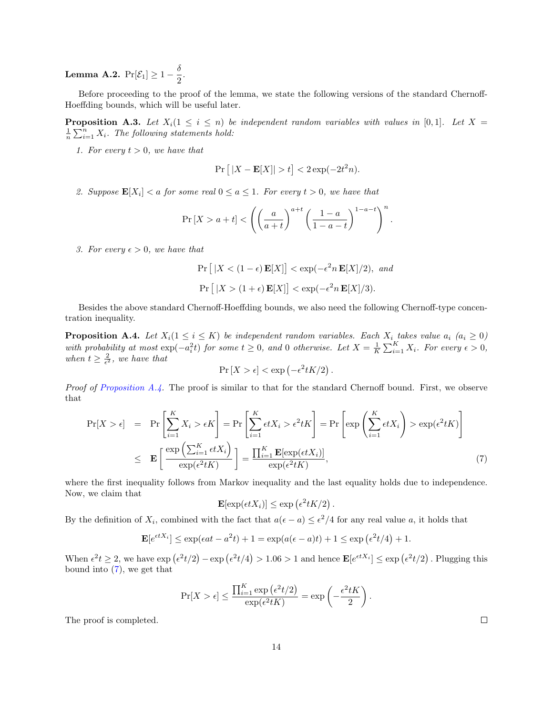<span id="page-13-2"></span>**Lemma A.2.**  $Pr[\mathcal{E}_1] \geq 1 - \frac{\delta}{2}$  $\frac{5}{2}$ .

Before proceeding to the proof of the lemma, we state the following versions of the standard Chernoff-Hoeffding bounds, which will be useful later.

<span id="page-13-3"></span>**Proposition A.3.** Let  $X_i(1 \leq i \leq n)$  be independent random variables with values in [0,1]. Let  $X =$  $\frac{1}{n}\sum_{i=1}^n X_i$ . The following statements hold:

1. For every  $t > 0$ , we have that

$$
\Pr\left[\|X - \mathbf{E}[X]\| > t\right] < 2\exp(-2t^2n).
$$

2. Suppose  $\mathbf{E}[X_i] < a$  for some real  $0 \le a \le 1$ . For every  $t > 0$ , we have that

$$
\Pr\left[X > a+t\right] < \left( \left( \frac{a}{a+t} \right)^{a+t} \left( \frac{1-a}{1-a-t} \right)^{1-a-t} \right)^n.
$$

3. For every  $\epsilon > 0$ , we have that

$$
\Pr\left[|X < (1 - \epsilon)\mathbf{E}[X]\right] < \exp(-\epsilon^2 n \mathbf{E}[X]/2), \text{ and}
$$
\n
$$
\Pr\left[|X > (1 + \epsilon)\mathbf{E}[X]\right] < \exp(-\epsilon^2 n \mathbf{E}[X]/3).
$$

Besides the above standard Chernoff-Hoeffding bounds, we also need the following Chernoff-type concentration inequality.

<span id="page-13-0"></span>**Proposition A.4.** Let  $X_i(1 \leq i \leq K)$  be independent random variables. Each  $X_i$  takes value  $a_i$   $(a_i \geq 0)$ with probability at most  $\exp(-a_i^2 t)$  for some  $t \geq 0$ , and 0 otherwise. Let  $X = \frac{1}{K} \sum_{i=1}^K X_i$ . For every  $\epsilon > 0$ , when  $t \geq \frac{2}{\epsilon^2}$ , we have that

$$
\Pr[X > \epsilon] < \exp\left(-\epsilon^2 t K/2\right).
$$

Proof of [Proposition A.4.](#page-13-0) The proof is similar to that for the standard Chernoff bound. First, we observe that

<span id="page-13-1"></span>
$$
\Pr[X > \epsilon] = \Pr\left[\sum_{i=1}^{K} X_i > \epsilon K\right] = \Pr\left[\sum_{i=1}^{K} \epsilon t X_i > \epsilon^2 t K\right] = \Pr\left[\exp\left(\sum_{i=1}^{K} \epsilon t X_i\right) > \exp(\epsilon^2 t K)\right]
$$
  

$$
\leq \mathbf{E}\left[\frac{\exp\left(\sum_{i=1}^{K} \epsilon t X_i\right)}{\exp(\epsilon^2 t K)}\right] = \frac{\prod_{i=1}^{K} \mathbf{E}[\exp(\epsilon t X_i)]}{\exp(\epsilon^2 t K)},\tag{7}
$$

where the first inequality follows from Markov inequality and the last equality holds due to independence. Now, we claim that

$$
\mathbf{E}[\exp(\epsilon t X_i)] \le \exp\left(\epsilon^2 t K/2\right).
$$

By the definition of  $X_i$ , combined with the fact that  $a(\epsilon - a) \leq \epsilon^2/4$  for any real value a, it holds that

$$
\mathbf{E}[e^{\epsilon t X_i}] \le \exp(\epsilon at - a^2 t) + 1 = \exp(a(\epsilon - a)t) + 1 \le \exp(\epsilon^2 t/4) + 1.
$$

When  $\epsilon^2 t \geq 2$ , we have  $\exp(\epsilon^2 t/2) - \exp(\epsilon^2 t/4) > 1.06 > 1$  and hence  $\mathbf{E}[e^{\epsilon t X_i}] \leq \exp(\epsilon^2 t/2)$ . Plugging this bound into  $(7)$ , we get that

$$
\Pr[X > \epsilon] \le \frac{\prod_{i=1}^{K} \exp\left(\epsilon^2 t/2\right)}{\exp\left(\epsilon^2 t K\right)} = \exp\left(-\frac{\epsilon^2 t K}{2}\right)
$$

.

The proof is completed.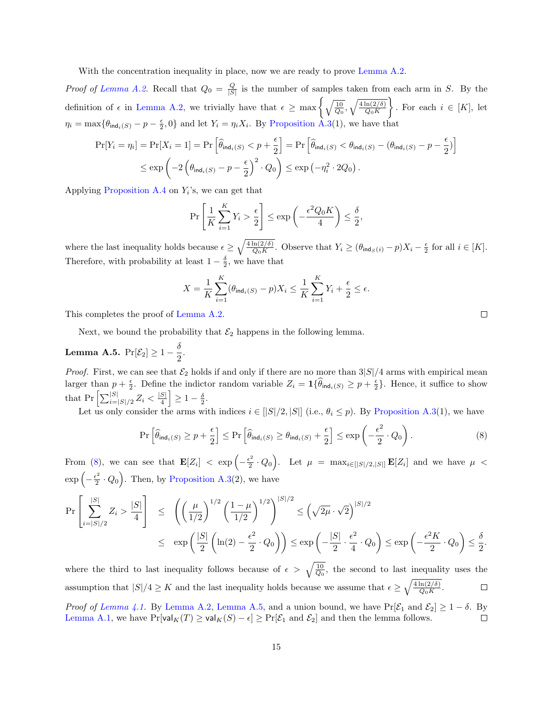With the concentration inequality in place, now we are ready to prove [Lemma A.2.](#page-13-2)

*Proof of [Lemma A.2.](#page-13-2)* Recall that  $Q_0 = \frac{Q}{|S|}$  is the number of samples taken from each arm in S. By the definition of  $\epsilon$  in [Lemma A.2,](#page-13-2) we trivially have that  $\epsilon \ge \max\left\{\sqrt{\frac{10}{Q_0}}, \sqrt{\frac{4\ln(2/\delta)}{Q_0 K}}\right\}$  $\big\}$ . For each  $i \in [K]$ , let  $\eta_i = \max\{\theta_{\text{ind}_i(S)} - p - \frac{\epsilon}{2}, 0\}$  and let  $Y_i = \eta_i X_i$ . By [Proposition A.3\(](#page-13-3)1), we have that

$$
\Pr[Y_i = \eta_i] = \Pr[X_i = 1] = \Pr\left[\hat{\theta}_{\text{ind}_i(S)} < p + \frac{\epsilon}{2}\right] = \Pr\left[\hat{\theta}_{\text{ind}_i(S)} < \theta_{\text{ind}_i(S)} - (\theta_{\text{ind}_i(S)} - p - \frac{\epsilon}{2})\right]
$$
\n
$$
\leq \exp\left(-2\left(\theta_{\text{ind}_i(S)} - p - \frac{\epsilon}{2}\right)^2 \cdot Q_0\right) \leq \exp\left(-\eta_i^2 \cdot 2Q_0\right).
$$

Applying [Proposition A.4](#page-13-0) on  $Y_i$ 's, we can get that

$$
\Pr\left[\frac{1}{K}\sum_{i=1}^{K}Y_i > \frac{\epsilon}{2}\right] \le \exp\left(-\frac{\epsilon^2 Q_0 K}{4}\right) \le \frac{\delta}{2},
$$

where the last inequality holds because  $\epsilon \geq \sqrt{\frac{4 \ln(2/\delta)}{Q_0 K}}$ . Observe that  $Y_i \geq (\theta_{\text{ind}_S(i)} - p)X_i - \frac{\epsilon}{2}$  for all  $i \in [K]$ . Therefore, with probability at least  $1 - \frac{\delta}{2}$ , we have that

<span id="page-14-0"></span>
$$
X = \frac{1}{K} \sum_{i=1}^{K} (\theta_{\text{ind}_i(S)} - p) X_i \le \frac{1}{K} \sum_{i=1}^{K} Y_i + \frac{\epsilon}{2} \le \epsilon.
$$

This completes the proof of [Lemma A.2.](#page-13-2)

Next, we bound the probability that  $\mathcal{E}_2$  happens in the following lemma.

<span id="page-14-1"></span>**Lemma A.5.** 
$$
Pr[\mathcal{E}_2] \ge 1 - \frac{\delta}{2}.
$$

*Proof.* First, we can see that  $\mathcal{E}_2$  holds if and only if there are no more than  $3|S|/4$  arms with empirical mean larger than  $p + \frac{\epsilon}{2}$ . Define the indictor random variable  $Z_i = \mathbf{1} {\widehat{\theta}_{ind_i(S)}} \geq p + \frac{\epsilon}{2}$ . Hence, it suffice to show that  $Pr\left[\sum_{i=|S|/2}^{|S|} Z_i < \frac{|S|}{4}\right]$  $\left| \frac{S}{4} \right| \geq 1 - \frac{\delta}{2}.$ 

Let us only consider the arms with indices  $i \in [|S|/2, |S|]$  (i.e.,  $\theta_i \leq p$ ). By [Proposition A.3\(](#page-13-3)1), we have

$$
\Pr\left[\widehat{\theta}_{\text{ind}_i(S)} \ge p + \frac{\epsilon}{2}\right] \le \Pr\left[\widehat{\theta}_{\text{ind}_i(S)} \ge \theta_{\text{ind}_i(S)} + \frac{\epsilon}{2}\right] \le \exp\left(-\frac{\epsilon^2}{2} \cdot Q_0\right). \tag{8}
$$

From [\(8\)](#page-14-0), we can see that  $\mathbf{E}[Z_i] < \exp\left(-\frac{\epsilon^2}{2}\right)$  $\frac{z^2}{2} \cdot Q_0$ . Let  $\mu = \max_{i \in [|S|/2, |S|]} \mathbf{E}[Z_i]$  and we have  $\mu$  <  $\exp\left(-\frac{\epsilon^2}{2}\right)$  $\left(\frac{1}{2} \cdot Q_0\right)$ . Then, by [Proposition A.3\(](#page-13-3)2), we have

$$
\Pr\left[\sum_{i=|S|/2}^{|S|} Z_i > \frac{|S|}{4}\right] \leq \left(\left(\frac{\mu}{1/2}\right)^{1/2} \left(\frac{1-\mu}{1/2}\right)^{1/2}\right)^{|S|/2} \leq \left(\sqrt{2\mu} \cdot \sqrt{2}\right)^{|S|/2} \\
\leq \exp\left(\frac{|S|}{2}\left(\ln(2) - \frac{\epsilon^2}{2} \cdot Q_0\right)\right) \leq \exp\left(-\frac{|S|}{2} \cdot \frac{\epsilon^2}{4} \cdot Q_0\right) \leq \exp\left(-\frac{\epsilon^2 K}{2} \cdot Q_0\right) \leq \frac{\delta}{2}.
$$

where the third to last inequality follows because of  $\epsilon > \sqrt{\frac{10}{Q_0}}$ , the second to last inequality uses the assumption that  $|S|/4 \geq K$  and the last inequality holds because we assume that  $\epsilon \geq \sqrt{\frac{4 \ln(2/\delta)}{Q_0 K}}$ .  $\Box$ 

Proof of [Lemma 4.1.](#page-4-2) By [Lemma A.2,](#page-13-2) [Lemma A.5,](#page-14-1) and a union bound, we have  $Pr[\mathcal{E}_1 \text{ and } \mathcal{E}_2] \geq 1 - \delta$ . By [Lemma A.1,](#page-12-5) we have  $Pr[val_K(T) \geq val_K(S) - \epsilon] \geq Pr[\mathcal{E}_1 \text{ and } \mathcal{E}_2]$  and then the lemma follows.  $\Box$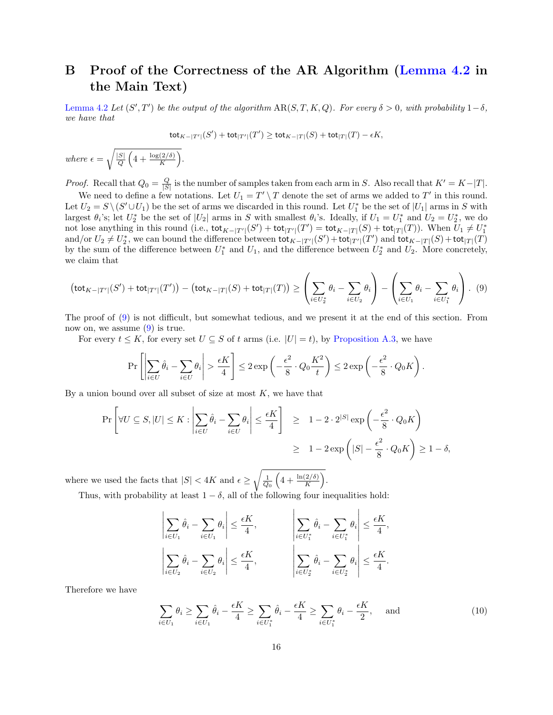# B Proof of the Correctness of the AR Algorithm [\(Lemma 4.2](#page-5-0) in the Main Text)

[Lemma 4.2](#page-5-0) Let  $(S', T')$  be the output of the algorithm  $AR(S, T, K, Q)$ . For every  $\delta > 0$ , with probability  $1 - \delta$ , we have that

<span id="page-15-0"></span>
$$
\operatorname{tot}_{K-|T'|}(S')+\operatorname{tot}_{|T'|}(T')\geq \operatorname{tot}_{K-|T|}(S)+\operatorname{tot}_{|T|}(T)-\epsilon K,
$$

where  $\epsilon = \sqrt{\frac{|S|}{O}}$  $\frac{S}{Q}\left(4+\frac{\log(2/\delta)}{K}\right).$ 

*Proof.* Recall that  $Q_0 = \frac{Q}{|S|}$  is the number of samples taken from each arm in S. Also recall that  $K' = K - |T|$ .

We need to define a few notations. Let  $U_1 = T' \setminus T$  denote the set of arms we added to T' in this round. Let  $U_2 = S \setminus (S' \cup U_1)$  be the set of arms we discarded in this round. Let  $U_1^*$  be the set of  $|U_1|$  arms in S with largest  $\theta_i$ 's; let  $U_2^*$  be the set of  $|U_2|$  arms in S with smallest  $\theta_i$ 's. Ideally, if  $U_1 = U_1^*$  and  $U_2 = U_2^*$ , we do not lose anything in this round (i.e.,  $\text{tot}_{K-|T'|}(S') + \text{tot}_{|T'|}(T') = \text{tot}_{K-|T|}(S) + \text{tot}_{|T|}(T)$ ). When  $U_1 \neq U_1^*$ and/or  $U_2 \neq U_2^*$ , we can bound the difference between  $\text{tot}_{K-|T'|}(S') + \text{tot}_{|T'|}(T')$  and  $\text{tot}_{K-|T|}(S) + \text{tot}_{|T|}(T)$ by the sum of the difference between  $U_1^*$  and  $U_1$ , and the difference between  $U_2^*$  and  $U_2$ . More concretely, we claim that

$$
\left(\text{tot}_{K-|T'|}(S') + \text{tot}_{|T'|}(T')\right) - \left(\text{tot}_{K-|T|}(S) + \text{tot}_{|T|}(T)\right) \ge \left(\sum_{i \in U_2^*} \theta_i - \sum_{i \in U_2} \theta_i\right) - \left(\sum_{i \in U_1} \theta_i - \sum_{i \in U_1^*} \theta_i\right). \tag{9}
$$

The proof of [\(9\)](#page-15-0) is not difficult, but somewhat tedious, and we present it at the end of this section. From now on, we assume  $(9)$  is true.

For every  $t \leq K$ , for every set  $U \subseteq S$  of t arms (i.e.  $|U| = t$ ), by [Proposition A.3,](#page-13-3) we have

$$
\Pr\left[\left|\sum_{i\in U}\hat{\theta}_i - \sum_{i\in U}\theta_i\right| > \frac{\epsilon K}{4}\right] \le 2\exp\left(-\frac{\epsilon^2}{8}\cdot Q_0\frac{K^2}{t}\right) \le 2\exp\left(-\frac{\epsilon^2}{8}\cdot Q_0K\right).
$$

By a union bound over all subset of size at most  $K$ , we have that

$$
\Pr\left[\forall U \subseteq S, |U| \le K : \left|\sum_{i \in U} \hat{\theta}_i - \sum_{i \in U} \theta_i\right| \le \frac{\epsilon K}{4}\right] \ge 1 - 2 \cdot 2^{|S|} \exp\left(-\frac{\epsilon^2}{8} \cdot Q_0 K\right)
$$

$$
\ge 1 - 2 \exp\left(|S| - \frac{\epsilon^2}{8} \cdot Q_0 K\right) \ge 1 - \delta,
$$

where we used the facts that  $|S| < 4K$  and  $\epsilon \geq \sqrt{\frac{1}{Q_0} \left(4 + \frac{\ln(2/\delta)}{K}\right)}$ .

Thus, with probability at least  $1 - \delta$ , all of the following four inequalities hold:

$$
\left|\sum_{i\in U_1} \hat{\theta}_i - \sum_{i\in U_1} \theta_i\right| \le \frac{\epsilon K}{4}, \qquad \left|\sum_{i\in U_1^*} \hat{\theta}_i - \sum_{i\in U_1^*} \theta_i\right| \le \frac{\epsilon K}{4},
$$

$$
\left|\sum_{i\in U_2} \hat{\theta}_i - \sum_{i\in U_2} \theta_i\right| \le \frac{\epsilon K}{4}, \qquad \left|\sum_{i\in U_2^*} \hat{\theta}_i - \sum_{i\in U_2^*} \theta_i\right| \le \frac{\epsilon K}{4}.
$$

Therefore we have

<span id="page-15-1"></span>
$$
\sum_{i \in U_1} \theta_i \ge \sum_{i \in U_1} \hat{\theta}_i - \frac{\epsilon K}{4} \ge \sum_{i \in U_1^*} \hat{\theta}_i - \frac{\epsilon K}{4} \ge \sum_{i \in U_1^*} \theta_i - \frac{\epsilon K}{2}, \quad \text{and} \tag{10}
$$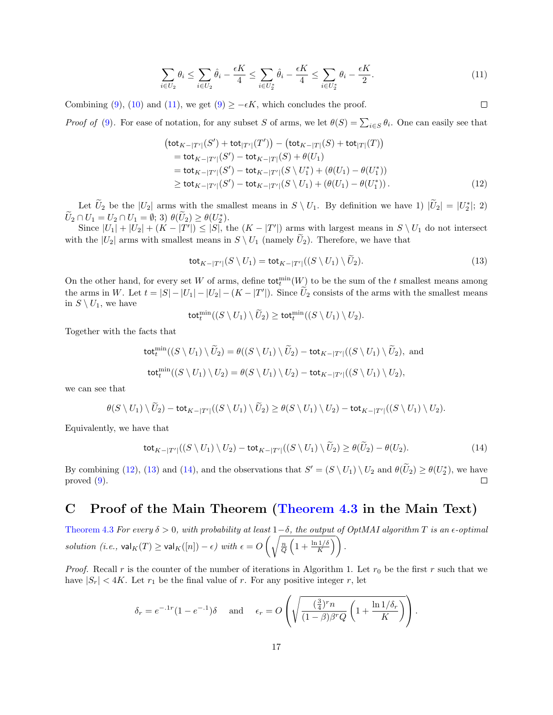<span id="page-16-0"></span>
$$
\sum_{i \in U_2} \theta_i \le \sum_{i \in U_2} \hat{\theta}_i - \frac{\epsilon K}{4} \le \sum_{i \in U_2^*} \hat{\theta}_i - \frac{\epsilon K}{4} \le \sum_{i \in U_2^*} \theta_i - \frac{\epsilon K}{2}.
$$
\n
$$
(11)
$$

<span id="page-16-2"></span><span id="page-16-1"></span> $\Box$ 

Combining [\(9\)](#page-15-0), [\(10\)](#page-15-1) and [\(11\)](#page-16-0), we get (9)  $\geq -\epsilon K$ , which concludes the proof.

*Proof of* [\(9\)](#page-15-0). For ease of notation, for any subset S of arms, we let  $\theta(S) = \sum_{i \in S} \theta_i$ . One can easily see that

$$
(\text{tot}_{K-|T'|}(S') + \text{tot}_{|T'|}(T')) - (\text{tot}_{K-|T|}(S) + \text{tot}_{|T|}(T))
$$
  
=  $\text{tot}_{K-|T'|}(S') - \text{tot}_{K-|T|}(S) + \theta(U_1)$   
=  $\text{tot}_{K-|T'|}(S') - \text{tot}_{K-|T'|}(S \setminus U_1^*) + (\theta(U_1) - \theta(U_1^*))$   
 $\geq \text{tot}_{K-|T'|}(S') - \text{tot}_{K-|T'|}(S \setminus U_1) + (\theta(U_1) - \theta(U_1^*))$ . (12)

Let  $\tilde{U}_2$  be the  $|U_2|$  arms with the smallest means in  $S \setminus U_1$ . By definition we have 1)  $|\tilde{U}_2| = |U_2^*|$ ; 2)  $\widetilde{U}_2 \cap U_1 = U_2 \cap U_1 = \emptyset; 3) \theta(\widetilde{U}_2) \geq \theta(U_2^*)$ 

Since  $|U_1| + |U_2| + (K - |T'|) \leq |S|$ , the  $(K - |T'|)$  arms with largest means in  $S \setminus U_1$  do not intersect with the  $|U_2|$  arms with smallest means in  $S \setminus U_1$  (namely  $U_2$ ). Therefore, we have that

$$
\operatorname{tot}_{K-|T'|}(S \setminus U_1) = \operatorname{tot}_{K-|T'|}((S \setminus U_1) \setminus \widetilde{U}_2). \tag{13}
$$

On the other hand, for every set W of arms, define  $\text{tot}_t^{\text{min}}(W)$  to be the sum of the t smallest means among the arms in W. Let  $t = |S| - |U_1| - |U_2| - (K - |T'|)$ . Since  $\tilde{U}_2$  consists of the arms with the smallest means in  $S \setminus U_1$ , we have

<span id="page-16-3"></span>
$$
\mathsf{tot}^{\min}_t((S \setminus U_1) \setminus \widetilde{U}_2) \geq \mathsf{tot}^{\min}_t((S \setminus U_1) \setminus U_2).
$$

Together with the facts that

$$
\begin{aligned} \operatorname{tot}_t^{\min}((S \setminus U_1) \setminus \widetilde{U}_2) &= \theta((S \setminus U_1) \setminus \widetilde{U}_2) - \operatorname{tot}_{K - |T'|}((S \setminus U_1) \setminus \widetilde{U}_2), \text{ and} \\ \operatorname{tot}_t^{\min}((S \setminus U_1) \setminus U_2) &= \theta(S \setminus U_1) \setminus U_2) - \operatorname{tot}_{K - |T'|}((S \setminus U_1) \setminus U_2), \end{aligned}
$$

we can see that

$$
\theta(S \setminus U_1) \setminus \widetilde{U}_2) - \text{tot}_{K-|T'|}((S \setminus U_1) \setminus \widetilde{U}_2) \geq \theta(S \setminus U_1) \setminus U_2) - \text{tot}_{K-|T'|}((S \setminus U_1) \setminus U_2).
$$

Equivalently, we have that

$$
\operatorname{tot}_{K-|T'|}((S \setminus U_1) \setminus U_2) - \operatorname{tot}_{K-|T'|}((S \setminus U_1) \setminus \widetilde{U}_2) \ge \theta(\widetilde{U}_2) - \theta(U_2). \tag{14}
$$

By combining [\(12\)](#page-16-1), [\(13\)](#page-16-2) and [\(14\)](#page-16-3), and the observations that  $S' = (S \setminus U_1) \setminus U_2$  and  $\theta(\tilde{U}_2) \geq \theta(U_2^*)$ , we have proved [\(9\)](#page-15-0).  $\Box$ 

### C Proof of the Main Theorem [\(Theorem 4.3](#page-5-1) in the Main Text)

[Theorem 4.3](#page-5-1) For every  $\delta > 0$ , with probability at least  $1-\delta$ , the output of OptMAI algorithm T is an  $\epsilon$ -optimal solution (i.e.,  $\mathsf{val}_K(T) \geq \mathsf{val}_K([n]) - \epsilon$ ) with  $\epsilon = O\left(\sqrt{\frac{n}{Q}\left(1 + \frac{\ln 1/\delta}{K}\right)}\right)$ .

*Proof.* Recall r is the counter of the number of iterations in Algorithm 1. Let  $r_0$  be the first r such that we have  $|S_r|$  < 4K. Let  $r_1$  be the final value of r. For any positive integer r, let

$$
\delta_r = e^{-.1r} (1 - e^{-.1}) \delta \quad \text{and} \quad \epsilon_r = O\left(\sqrt{\frac{(\frac{3}{4})^r n}{(1 - \beta)\beta^r Q} \left(1 + \frac{\ln 1/\delta_r}{K}\right)}\right).
$$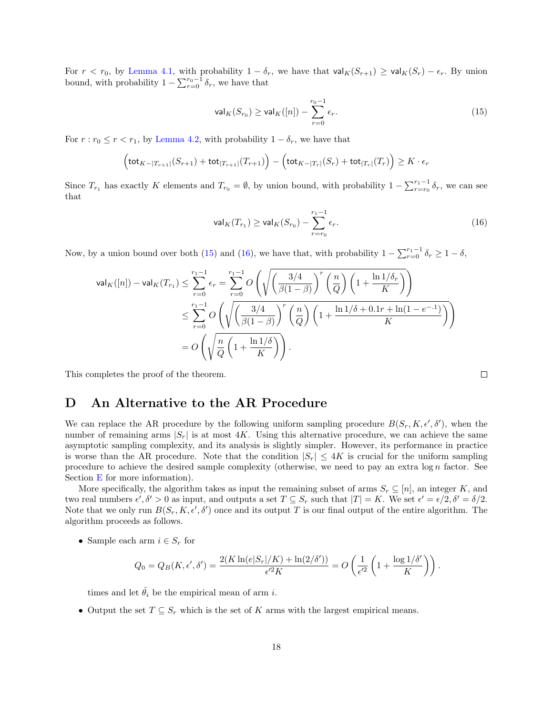For  $r < r_0$ , by [Lemma 4.1,](#page-4-2) with probability  $1 - \delta_r$ , we have that  $\mathsf{val}_K(S_{r+1}) \geq \mathsf{val}_K(S_r) - \epsilon_r$ . By union bound, with probability  $1 - \sum_{r=0}^{r_0-1} \delta_r$ , we have that

<span id="page-17-1"></span>
$$
\mathsf{val}_K(S_{r_0}) \ge \mathsf{val}_K([n]) - \sum_{r=0}^{r_0 - 1} \epsilon_r. \tag{15}
$$

For  $r : r_0 \le r < r_1$ , by [Lemma 4.2,](#page-5-0) with probability  $1 - \delta_r$ , we have that

$$
\left(\text{tot}_{K-|T_{r+1}|}(S_{r+1}) + \text{tot}_{|T_{r+1}|}(T_{r+1})\right) - \left(\text{tot}_{K-|T_r|}(S_r) + \text{tot}_{|T_r|}(T_r)\right) \geq K \cdot \epsilon_r
$$

Since  $T_{r_1}$  has exactly K elements and  $T_{r_0} = \emptyset$ , by union bound, with probability  $1 - \sum_{r=r_0}^{r_1-1} \delta_r$ , we can see that

<span id="page-17-2"></span>
$$
\mathsf{val}_K(T_{r_1}) \ge \mathsf{val}_K(S_{r_0}) - \sum_{r=r_0}^{r_1-1} \epsilon_r. \tag{16}
$$

Now, by a union bound over both [\(15\)](#page-17-1) and [\(16\)](#page-17-2), we have that, with probability  $1 - \sum_{r=0}^{r_1-1} \delta_r \ge 1 - \delta$ ,

$$
\begin{aligned} \mathsf{val}_K([n]) - \mathsf{val}_K(T_{r_1}) &\leq \sum_{r=0}^{r_1-1} \epsilon_r = \sum_{r=0}^{r_1-1} O\left(\sqrt{\left(\frac{3/4}{\beta(1-\beta)}\right)^r \left(\frac{n}{Q}\right) \left(1+\frac{\ln 1/\delta_r}{K}\right)}\right) \\ &\leq \sum_{r=0}^{r_1-1} O\left(\sqrt{\left(\frac{3/4}{\beta(1-\beta)}\right)^r \left(\frac{n}{Q}\right) \left(1+\frac{\ln 1/\delta+0.1r+\ln(1-e^{-.1})}{K}\right)}\right) \\ &= O\left(\sqrt{\frac{n}{Q}\left(1+\frac{\ln 1/\delta}{K}\right)}\right). \end{aligned}
$$

This completes the proof of the theorem.

### <span id="page-17-0"></span>D An Alternative to the AR Procedure

We can replace the AR procedure by the following uniform sampling procedure  $B(S_r, K, \epsilon', \delta')$ , when the number of remaining arms  $|S_r|$  is at most 4K. Using this alternative procedure, we can achieve the same asymptotic sampling complexity, and its analysis is slightly simpler. However, its performance in practice is worse than the AR procedure. Note that the condition  $|S_r| \leq 4K$  is crucial for the uniform sampling procedure to achieve the desired sample complexity (otherwise, we need to pay an extra  $\log n$  factor. See Section [E](#page-18-0) for more information).

More specifically, the algorithm takes as input the remaining subset of arms  $S_r \subseteq [n]$ , an integer K, and two real numbers  $\epsilon', \delta' > 0$  as input, and outputs a set  $T \subseteq S_r$  such that  $|T| = K$ . We set  $\epsilon' = \epsilon/2, \delta' = \delta/2$ . Note that we only run  $B(S_r, K, \epsilon', \delta')$  once and its output T is our final output of the entire algorithm. The algorithm proceeds as follows.

• Sample each arm  $i \in S_r$  for

$$
Q_0 = Q_B(K, \epsilon', \delta') = \frac{2(K \ln(e|S_r|/K) + \ln(2/\delta'))}{\epsilon'^2 K} = O\left(\frac{1}{\epsilon'^2} \left(1 + \frac{\log 1/\delta'}{K}\right)\right).
$$

times and let  $\hat{\theta}_i$  be the empirical mean of arm i.

• Output the set  $T \subseteq S_r$  which is the set of K arms with the largest empirical means.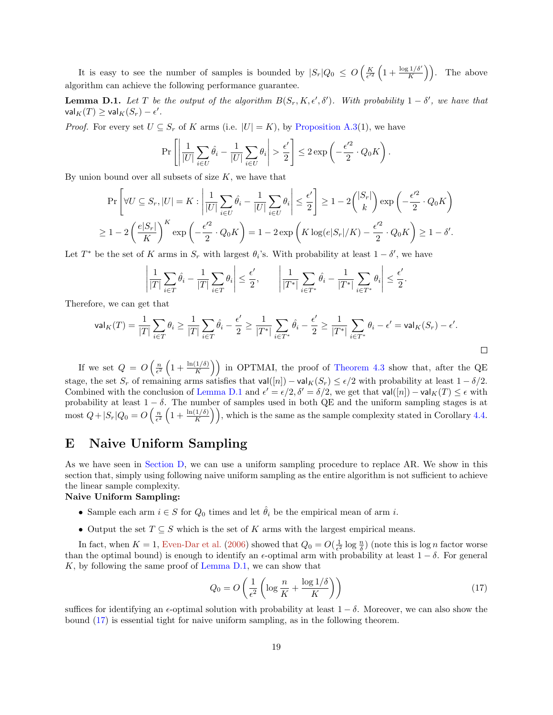<span id="page-18-1"></span>It is easy to see the number of samples is bounded by  $|S_r|Q_0 \leq O\left(\frac{K}{\epsilon'^2}\left(1+\frac{\log 1/\delta'}{K}\right)\right)$ . The above algorithm can achieve the following performance guarantee.

<span id="page-18-2"></span>**Lemma D.1.** Let T be the output of the algorithm  $B(S_r, K, \epsilon', \delta')$ . With probability  $1 - \delta'$ , we have that  $\mathsf{val}_K(T) \geq \mathsf{val}_K(S_r) - \epsilon'.$ 

*Proof.* For every set  $U \subseteq S_r$  of K arms (i.e.  $|U| = K$ ), by [Proposition A.3\(](#page-13-3)1), we have

$$
\Pr\left[\left|\frac{1}{|U|}\sum_{i\in U}\hat{\theta}_i - \frac{1}{|U|}\sum_{i\in U}\theta_i\right| > \frac{\epsilon'}{2}\right] \le 2\exp\left(-\frac{\epsilon'^2}{2}\cdot Q_0K\right).
$$

By union bound over all subsets of size  $K$ , we have that

$$
\Pr\left[\forall U \subseteq S_r, |U| = K : \left|\frac{1}{|U|} \sum_{i \in U} \hat{\theta}_i - \frac{1}{|U|} \sum_{i \in U} \theta_i\right| \le \frac{\epsilon'}{2}\right] \ge 1 - 2\binom{|S_r|}{k} \exp\left(-\frac{\epsilon'^2}{2} \cdot Q_0 K\right)
$$

$$
\ge 1 - 2\left(\frac{e|S_r|}{K}\right)^K \exp\left(-\frac{\epsilon'^2}{2} \cdot Q_0 K\right) = 1 - 2\exp\left(K \log(e|S_r|/K) - \frac{\epsilon'^2}{2} \cdot Q_0 K\right) \ge 1 - \delta'.
$$

Let  $T^*$  be the set of K arms in  $S_r$  with largest  $\theta_i$ 's. With probability at least  $1-\delta'$ , we have

$$
\left|\frac{1}{|T|}\sum_{i\in T}\hat{\theta}_i - \frac{1}{|T|}\sum_{i\in T}\theta_i\right| \leq \frac{\epsilon'}{2}, \qquad \left|\frac{1}{|T^*|}\sum_{i\in T^*}\hat{\theta}_i - \frac{1}{|T^*|}\sum_{i\in T^*}\theta_i\right| \leq \frac{\epsilon'}{2}.
$$

Therefore, we can get that

$$
\mathsf{val}_K(T) = \frac{1}{|T|} \sum_{i \in T} \theta_i \ge \frac{1}{|T|} \sum_{i \in T} \hat{\theta}_i - \frac{\epsilon'}{2} \ge \frac{1}{|T^*|} \sum_{i \in T^*} \hat{\theta}_i - \frac{\epsilon'}{2} \ge \frac{1}{|T^*|} \sum_{i \in T^*} \theta_i - \epsilon' = \mathsf{val}_K(S_r) - \epsilon'.
$$

If we set  $Q = O\left(\frac{n}{\epsilon^2}\left(1 + \frac{\ln(1/\delta)}{K}\right)\right)$  in OPTMAI, the proof of [Theorem 4.3](#page-5-1) show that, after the QE stage, the set  $S_r$  of remaining arms satisfies that  $\mathsf{val}([n]) - \mathsf{val}_K(S_r) \leq \epsilon/2$  with probability at least  $1 - \delta/2$ . Combined with the conclusion of [Lemma D.1](#page-18-2) and  $\epsilon' = \epsilon/2$ ,  $\delta' = \delta/2$ , we get that val $([n])$  – val $_K(T) \leq \epsilon$  with probability at least  $1 - \delta$ . The number of samples used in both QE and the uniform sampling stages is at most  $Q + |S_r|Q_0 = O\left(\frac{n}{\epsilon^2}\left(1 + \frac{\ln(1/\delta)}{K}\right)\right)$ , which is the same as the sample complexity stated in Corollary [4.4.](#page-5-3)

# <span id="page-18-0"></span>E Naive Uniform Sampling

As we have seen in [Section D,](#page-17-0) we can use a uniform sampling procedure to replace AR. We show in this section that, simply using following naive uniform sampling as the entire algorithm is not sufficient to achieve the linear sample complexity.

#### Naive Uniform Sampling:

- Sample each arm  $i \in S$  for  $Q_0$  times and let  $\hat{\theta}_i$  be the empirical mean of arm i.
- Output the set  $T \subseteq S$  which is the set of K arms with the largest empirical means.

In fact, when  $K = 1$ , [Even-Dar et al.](#page-11-9) [\(2006\)](#page-11-9) showed that  $Q_0 = O(\frac{1}{\epsilon^2} \log \frac{n}{\delta})$  (note this is  $\log n$  factor worse than the optimal bound) is enough to identify an  $\epsilon$ -optimal arm with probability at least  $1 - \delta$ . For general  $K$ , by following the same proof of [Lemma D.1,](#page-18-2) we can show that

$$
Q_0 = O\left(\frac{1}{\epsilon^2} \left( \log \frac{n}{K} + \frac{\log 1/\delta}{K} \right) \right) \tag{17}
$$

<span id="page-18-3"></span> $\Box$ 

suffices for identifying an  $\epsilon$ -optimal solution with probability at least  $1 - \delta$ . Moreover, we can also show the bound [\(17\)](#page-18-3) is essential tight for naive uniform sampling, as in the following theorem.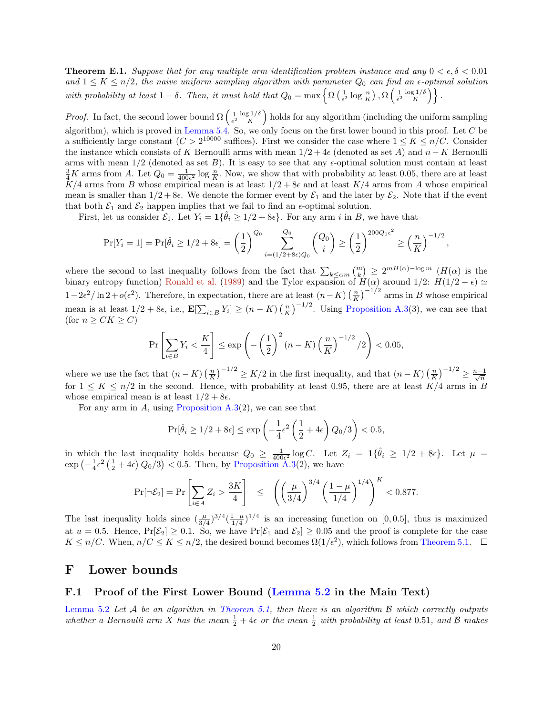<span id="page-19-0"></span>**Theorem E.1.** Suppose that for any multiple arm identification problem instance and any  $0 < \epsilon, \delta < 0.01$ and  $1 \leq K \leq n/2$ , the naive uniform sampling algorithm with parameter  $Q_0$  can find an  $\epsilon$ -optimal solution with probability at least  $1 - \delta$ . Then, it must hold that  $Q_0 = \max \left\{ \Omega \left( \frac{1}{\epsilon^2} \log \frac{n}{K} \right), \Omega \left( \frac{1}{\epsilon^2} \frac{\log 1/\delta}{K} \right) \right\}$  $\frac{g1/\delta}{K}$  ) }.

*Proof.* In fact, the second lower bound  $\Omega\left(\frac{1}{\epsilon^2}\frac{\log 1/\delta}{K}\right)$  $\frac{\kappa^2 L}{\delta}$ ) holds for any algorithm (including the uniform sampling algorithm), which is proved in [Lemma 5.4.](#page-7-2) So, we only focus on the first lower bound in this proof. Let  $C$  be a sufficiently large constant  $(C > 2^{10000}$  suffices). First we consider the case where  $1 \leq K \leq n/C$ . Consider the instance which consists of K Bernoulli arms with mean  $1/2 + 4\epsilon$  (denoted as set A) and  $n - K$  Bernoulli arms with mean  $1/2$  (denoted as set B). It is easy to see that any  $\epsilon$ -optimal solution must contain at least  $\frac{3}{4}K$  arms from A. Let  $Q_0 = \frac{1}{400\epsilon^2} \log \frac{n}{K}$ . Now, we show that with probability at least 0.05, there are at least  $K/4$  arms from B whose empirical mean is at least  $1/2 + 8\epsilon$  and at least  $K/4$  arms from A whose empirical mean is smaller than  $1/2 + 8\epsilon$ . We denote the former event by  $\mathcal{E}_1$  and the later by  $\mathcal{E}_2$ . Note that if the event that both  $\mathcal{E}_1$  and  $\mathcal{E}_2$  happen implies that we fail to find an  $\epsilon$ -optimal solution.

First, let us consider  $\mathcal{E}_1$ . Let  $Y_i = \mathbf{1} \{\hat{\theta}_i \geq 1/2 + 8\epsilon\}$ . For any arm i in B, we have that

$$
\Pr[Y_i = 1] = \Pr[\hat{\theta}_i \ge 1/2 + 8\epsilon] = \left(\frac{1}{2}\right)^{Q_0} \sum_{i = (1/2 + 8\epsilon)Q_0}^{Q_0} \binom{Q_0}{i} \ge \left(\frac{1}{2}\right)^{200Q_0\epsilon^2} \ge \left(\frac{n}{K}\right)^{-1/2},
$$

where the second to last inequality follows from the fact that  $\sum_{k\leq\alpha m} {m \choose k} \geq 2^{mH(\alpha)-\log m} (H(\alpha))$  is the binary entropy function) [Ronald et al.](#page-11-17) [\(1989\)](#page-11-17) and the Tylor expansion of  $H(\alpha)$  around  $1/2$ :  $H(1/2 - \epsilon) \simeq$  $1-2\epsilon^2/\ln 2+o(\epsilon^2)$ . Therefore, in expectation, there are at least  $(n-K)\left(\frac{n}{K}\right)^{-1/2}$  arms in B whose empirical mean is at least  $1/2 + 8\epsilon$ , i.e.,  $\mathbf{E}[\sum_{i \in B} Y_i] \ge (n - K) \left(\frac{n}{K}\right)^{-1/2}$ . Using [Proposition A.3\(](#page-13-3)3), we can see that (for  $n \geq CK \geq C$ )

$$
\Pr\left[\sum_{i \in B} Y_i < \frac{K}{4}\right] \le \exp\left(-\left(\frac{1}{2}\right)^2 (n - K) \left(\frac{n}{K}\right)^{-1/2} / 2\right) < 0.05,
$$

where we use the fact that  $(n - K) \left(\frac{n}{K}\right)^{-1/2} \geq K/2$  in the first inequality, and that  $(n - K) \left(\frac{n}{K}\right)^{-1/2} \geq \frac{n-1}{\sqrt{n}}$ for  $1 \leq K \leq n/2$  in the second. Hence, with probability at least 0.95, there are at least  $K/4$  arms in B whose empirical mean is at least  $1/2 + 8\epsilon$ .

For any arm in A, using Proposition  $A.3(2)$ , we can see that

$$
\Pr[\hat{\theta}_i \ge 1/2 + 8\epsilon] \le \exp\left(-\frac{1}{4}\epsilon^2 \left(\frac{1}{2} + 4\epsilon\right) Q_0/3\right) < 0.5,
$$

in which the last inequality holds because  $Q_0 \geq \frac{1}{400\epsilon^2} \log C$ . Let  $Z_i = 1 \{\hat{\theta}_i \geq 1/2 + 8\epsilon\}$ . Let  $\mu =$  $\exp\left(-\frac{1}{4}\epsilon^2\left(\frac{1}{2}+4\epsilon\right)Q_0/3\right) < 0.5$ . Then, by [Proposition A.3\(](#page-13-3)2), we have

$$
\Pr[\neg \mathcal{E}_2] = \Pr\left[\sum_{i \in A} Z_i > \frac{3K}{4}\right] \le \left(\left(\frac{\mu}{3/4}\right)^{3/4} \left(\frac{1-\mu}{1/4}\right)^{1/4}\right)^K < 0.877.
$$

The last inequality holds since  $(\frac{\mu}{3/4})^{3/4}(\frac{1-\mu}{1/4})^{1/4}$  is an increasing function on [0,0.5], thus is maximized at  $u = 0.5$ . Hence,  $Pr[\mathcal{E}_2] \ge 0.1$ . So, we have  $Pr[\mathcal{E}_1 \text{ and } \mathcal{E}_2] \ge 0.05$  and the proof is complete for the case  $K \leq n/C$ . When,  $n/C \leq K \leq n/2$ , the desired bound becomes  $\Omega(1/\epsilon^2)$ , which follows from [Theorem 5.1.](#page-6-1)

#### F Lower bounds

#### F.1 Proof of the First Lower Bound [\(Lemma 5.2](#page-6-2) in the Main Text)

[Lemma 5.2](#page-6-2) Let  $A$  be an algorithm in [Theorem 5.1,](#page-6-1) then there is an algorithm  $B$  which correctly outputs whether a Bernoulli arm X has the mean  $\frac{1}{2} + 4\epsilon$  or the mean  $\frac{1}{2}$  with probability at least 0.51, and B makes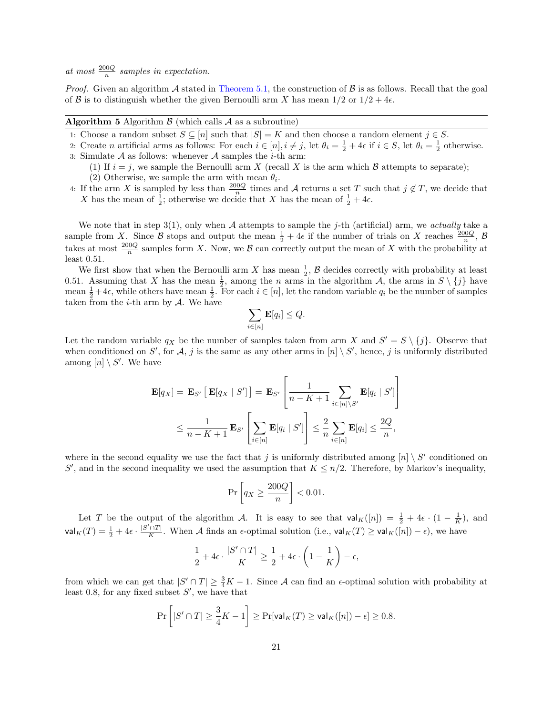at most  $\frac{200Q}{n}$  samples in expectation.

*Proof.* Given an algorithm A stated in [Theorem 5.1,](#page-6-1) the construction of  $\beta$  is as follows. Recall that the goal of B is to distinguish whether the given Bernoulli arm X has mean  $1/2$  or  $1/2 + 4\epsilon$ .

#### **Algorithm 5** Algorithm  $\beta$  (which calls  $\mathcal A$  as a subroutine)

- 1: Choose a random subset  $S \subseteq [n]$  such that  $|S| = K$  and then choose a random element  $j \in S$ .
- 2: Create n artificial arms as follows: For each  $i \in [n], i \neq j$ , let  $\theta_i = \frac{1}{2} + 4\epsilon$  if  $i \in S$ , let  $\theta_i = \frac{1}{2}$  otherwise. 3: Simulate  $\mathcal A$  as follows: whenever  $\mathcal A$  samples the *i*-th arm:
	- (1) If  $i = j$ , we sample the Bernoulli arm X (recall X is the arm which B attempts to separate);
	- (2) Otherwise, we sample the arm with mean  $\theta_i$ .
- 4: If the arm X is sampled by less than  $\frac{200Q}{n}$  times and A returns a set T such that  $j \notin T$ , we decide that X has the mean of  $\frac{1}{2}$ ; otherwise we decide that X has the mean of  $\frac{1}{2} + 4\epsilon$ .

We note that in step  $3(1)$ , only when A attempts to sample the j-th (artificial) arm, we actually take a sample from X. Since B stops and output the mean  $\frac{1}{2} + 4\epsilon$  if the number of trials on X reaches  $\frac{200Q}{n}$ , B takes at most  $\frac{200Q}{n}$  samples form X. Now, we B can correctly output the mean of X with the probability at least 0.51.

We first show that when the Bernoulli arm X has mean  $\frac{1}{2}$ , B decides correctly with probability at least 0.51. Assuming that X has the mean  $\frac{1}{2}$ , among the n arms in the algorithm A, the arms in  $S \setminus \{j\}$  have mean  $\frac{1}{2}+4\epsilon$ , while others have mean  $\frac{1}{2}$ . For each  $i \in [n]$ , let the random variable  $q_i$  be the number of samples taken from the  $i$ -th arm by  $A$ . We have

$$
\sum_{i\in[n]} \mathbf{E}[q_i] \leq Q.
$$

Let the random variable  $q_X$  be the number of samples taken from arm X and  $S' = S \setminus \{j\}$ . Observe that when conditioned on S', for A, j is the same as any other arms in  $[n] \setminus S'$ , hence, j is uniformly distributed among  $[n] \setminus S'$ . We have

$$
\mathbf{E}[q_X] = \mathbf{E}_{S'} \left[ \mathbf{E}[q_X | S'] \right] = \mathbf{E}_{S'} \left[ \frac{1}{n - K + 1} \sum_{i \in [n] \setminus S'} \mathbf{E}[q_i | S'] \right]
$$
  

$$
\leq \frac{1}{n - K + 1} \mathbf{E}_{S'} \left[ \sum_{i \in [n]} \mathbf{E}[q_i | S'] \right] \leq \frac{2}{n} \sum_{i \in [n]} \mathbf{E}[q_i] \leq \frac{2Q}{n},
$$

where in the second equality we use the fact that j is uniformly distributed among  $[n] \setminus S'$  conditioned on S', and in the second inequality we used the assumption that  $K \leq n/2$ . Therefore, by Markov's inequality,

$$
\Pr\left[q_X \ge \frac{200Q}{n}\right] < 0.01.
$$

Let T be the output of the algorithm A. It is easy to see that  $\mathsf{val}_K([n]) = \frac{1}{2} + 4\epsilon \cdot (1 - \frac{1}{K})$ , and val $_K(T) = \frac{1}{2} + 4\epsilon \cdot \frac{|S' \cap T|}{K}$  $K$ <sup>TIT</sup>. When A finds an  $\epsilon$ -optimal solution (i.e.,  $\mathsf{val}_K(T) \geq \mathsf{val}_K([n]) - \epsilon$ ), we have

$$
\frac{1}{2} + 4\epsilon \cdot \frac{|S' \cap T|}{K} \ge \frac{1}{2} + 4\epsilon \cdot \left(1 - \frac{1}{K}\right) - \epsilon,
$$

from which we can get that  $|S' \cap T| \geq \frac{3}{4}K - 1$ . Since A can find an  $\epsilon$ -optimal solution with probability at least 0.8, for any fixed subset  $S'$ , we have that

$$
\Pr\left[|S' \cap T| \ge \frac{3}{4}K - 1\right] \ge \Pr[\mathsf{val}_K(T) \ge \mathsf{val}_K([n]) - \epsilon] \ge 0.8.
$$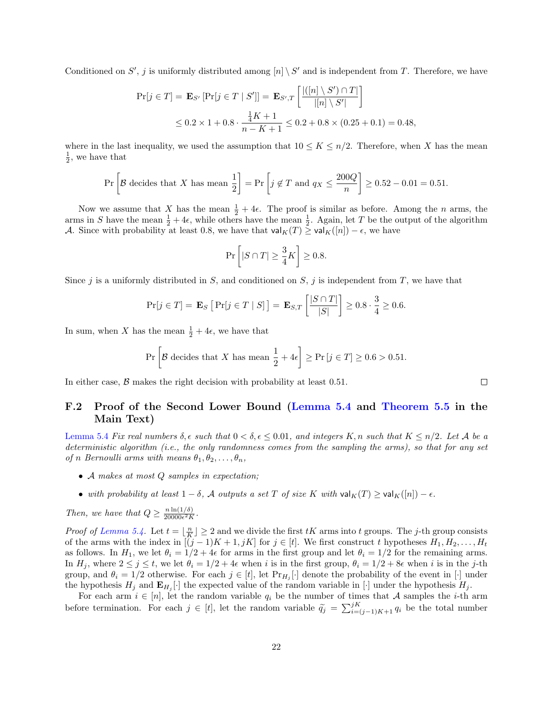Conditioned on S', j is uniformly distributed among  $[n] \setminus S'$  and is independent from T. Therefore, we have

$$
\Pr[j \in T] = \mathbf{E}_{S'} [\Pr[j \in T \mid S']] = \mathbf{E}_{S',T} \left[ \frac{|([n] \setminus S') \cap T|}{|[n] \setminus S'|} \right]
$$
  

$$
\leq 0.2 \times 1 + 0.8 \cdot \frac{\frac{1}{4}K + 1}{n - K + 1} \leq 0.2 + 0.8 \times (0.25 + 0.1) = 0.48,
$$

where in the last inequality, we used the assumption that  $10 \leq K \leq n/2$ . Therefore, when X has the mean  $\frac{1}{2}$ , we have that

$$
\Pr\left[\mathcal{B}\text{ decides that } X \text{ has mean } \frac{1}{2}\right] = \Pr\left[j \notin T \text{ and } q_X \le \frac{200Q}{n}\right] \ge 0.52 - 0.01 = 0.51.
$$

Now we assume that X has the mean  $\frac{1}{2} + 4\epsilon$ . The proof is similar as before. Among the n arms, the arms in S have the mean  $\frac{1}{2} + 4\epsilon$ , while others have the mean  $\frac{1}{2}$ . Again, let T be the output of the algorithm A. Since with probability at least 0.8, we have that  $\mathsf{val}_K(T) \geq \mathsf{val}_K([n]) - \epsilon$ , we have

$$
\Pr \left[ |S \cap T| \geq \frac{3}{4} K \right] \geq 0.8.
$$

Since j is a uniformly distributed in  $S$ , and conditioned on  $S$ , j is independent from  $T$ , we have that

$$
\Pr[j \in T] = \mathbf{E}_S \left[ \Pr[j \in T \mid S] \right] = \mathbf{E}_{S,T} \left[ \frac{|S \cap T|}{|S|} \right] \ge 0.8 \cdot \frac{3}{4} \ge 0.6.
$$

In sum, when X has the mean  $\frac{1}{2} + 4\epsilon$ , we have that

$$
\Pr\left[\mathcal{B} \text{ decides that } X \text{ has mean } \frac{1}{2} + 4\epsilon\right] \ge \Pr\left[j \in T\right] \ge 0.6 > 0.51.
$$

In either case,  $\beta$  makes the right decision with probability at least 0.51.

#### F.2 Proof of the Second Lower Bound [\(Lemma 5.4](#page-7-2) and [Theorem 5.5](#page-8-1) in the Main Text)

[Lemma 5.4](#page-7-2) Fix real numbers  $\delta, \epsilon$  such that  $0 < \delta, \epsilon \leq 0.01$ , and integers K, n such that  $K \leq n/2$ . Let A be a deterministic algorithm (i.e., the only randomness comes from the sampling the arms), so that for any set of n Bernoulli arms with means  $\theta_1, \theta_2, \ldots, \theta_n$ ,

- A makes at most Q samples in expectation;
- with probability at least  $1 \delta$ , A outputs a set T of size K with  $\text{val}_K(T) \ge \text{val}_K([n]) \epsilon$ .

Then, we have that  $Q \geq \frac{n \ln(1/\delta)}{20000\epsilon^2 R}$  $\frac{n \ln(1/\delta)}{20000\epsilon^2 K}.$ 

*Proof of [Lemma 5.4.](#page-7-2)* Let  $t = \lfloor \frac{n}{K} \rfloor \geq 2$  and we divide the first tK arms into t groups. The j-th group consists of the arms with the index in  $[(j-1)K+1, jK]$  for  $j \in [t]$ . We first construct t hypotheses  $H_1, H_2, \ldots, H_t$ as follows. In  $H_1$ , we let  $\theta_i = 1/2 + 4\epsilon$  for arms in the first group and let  $\theta_i = 1/2$  for the remaining arms. In  $H_j$ , where  $2 \leq j \leq t$ , we let  $\theta_i = 1/2 + 4\epsilon$  when i is in the first group,  $\theta_i = 1/2 + 8\epsilon$  when i is in the j-th group, and  $\theta_i = 1/2$  otherwise. For each  $j \in [t]$ , let  $\Pr_{H_j}[\cdot]$  denote the probability of the event in  $[\cdot]$  under the hypothesis  $H_j$  and  $\mathbf{E}_{H_j}[\cdot]$  the expected value of the random variable in  $[\cdot]$  under the hypothesis  $H_j$ .

For each arm  $i \in [n]$ , let the random variable  $q_i$  be the number of times that A samples the *i*-th arm before termination. For each  $j \in [t]$ , let the random variable  $\tilde{q}_j = \sum_{i=(j-1)K+1}^{jK} q_i$  be the total number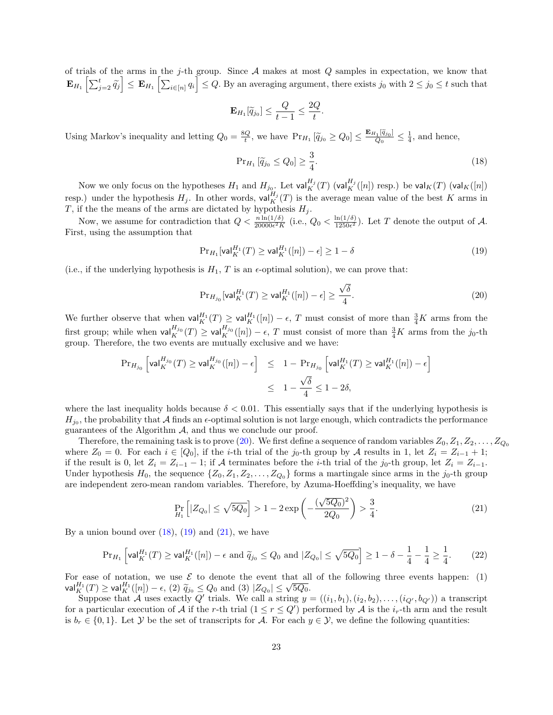of trials of the arms in the j-th group. Since  $A$  makes at most  $Q$  samples in expectation, we know that  $\mathbf{E}_{H_1}\left[\sum_{j=2}^t\widetilde{q}_j\right]\leq \mathbf{E}_{H_1}\left[\sum_{i\in[n]}q_i\right]\leq Q.$  By an averaging argument, there exists  $j_0$  with  $2\leq j_0\leq t$  such that

$$
\mathbf{E}_{H_1}[\widetilde{q}_{j_0}] \leq \frac{Q}{t-1} \leq \frac{2Q}{t}.
$$

Using Markov's inequality and letting  $Q_0 = \frac{8Q}{t}$ , we have  $Pr_{H_1}[\tilde{q}_{j_0} \geq Q_0] \leq \frac{E_{H_1}[\tilde{q}_{j_0}]}{Q_0}$  $\frac{q_{j_0}}{Q_0} \leq \frac{1}{4}$ , and hence,

<span id="page-22-2"></span><span id="page-22-1"></span>
$$
\Pr_{H_1} \left[ \tilde{q}_{j_0} \le Q_0 \right] \ge \frac{3}{4}.\tag{18}
$$

Now we only focus on the hypotheses  $H_1$  and  $H_{j_0}$ . Let  $\mathsf{val}^{H_j}_K(T)$  ( $\mathsf{val}^{H_j}_K([n])$  resp.) be  $\mathsf{val}_K(T)$  ( $\mathsf{val}_K([n])$ resp.) under the hypothesis  $H_j$ . In other words,  $\text{val}_{K}^{H_j}(T)$  is the average mean value of the best K arms in T, if the the means of the arms are dictated by hypothesis  $H_j$ .

Now, we assume for contradiction that  $Q < \frac{n \ln(1/\delta)}{20000\epsilon^2 K}$  (i.e.,  $Q_0 < \frac{\ln(1/\delta)}{1250\epsilon^2}$  $\frac{\ln(1/\delta)}{1250\epsilon^2}$ . Let T denote the output of A. First, using the assumption that

$$
\Pr_{H_1}[\mathsf{val}_K^{H_1}(T) \ge \mathsf{val}_K^{H_1}([n]) - \epsilon] \ge 1 - \delta \tag{19}
$$

(i.e., if the underlying hypothesis is  $H_1$ , T is an  $\epsilon$ -optimal solution), we can prove that:

<span id="page-22-0"></span>
$$
\Pr_{H_{j_0}}[\mathsf{val}_K^{H_1}(T) \ge \mathsf{val}_K^{H_1}([n]) - \epsilon] \ge \frac{\sqrt{\delta}}{4}.\tag{20}
$$

We further observe that when  $\mathsf{val}_{K}^{H_1}(T) \geq \mathsf{val}_{K}^{H_1}([n]) - \epsilon$ , T must consist of more than  $\frac{3}{4}K$  arms from the first group; while when  $\mathsf{val}_{K}^{H_{j_0}}(T) \geq \mathsf{val}_{K}^{H_{j_0}}([n]) - \epsilon$ , T must consist of more than  $\frac{3}{4}K$  arms from the j<sub>0</sub>-th group. Therefore, the two events are mutually exclusive and we have:

<span id="page-22-3"></span>
$$
\begin{aligned} \Pr_{H_{j_0}} \left[ \mathsf{val}_{K}^{H_{j_0}}(T) \geq \mathsf{val}_{K}^{H_{j_0}}([n]) - \epsilon \right] &\leq 1 - \Pr_{H_{j_0}} \left[ \mathsf{val}_{K}^{H_1}(T) \geq \mathsf{val}_{K}^{H_1}([n]) - \epsilon \right] \\ &\leq 1 - \frac{\sqrt{\delta}}{4} \leq 1 - 2\delta, \end{aligned}
$$

where the last inequality holds because  $\delta < 0.01$ . This essentially says that if the underlying hypothesis is  $H_{j_0}$ , the probability that A finds an  $\epsilon$ -optimal solution is not large enough, which contradicts the performance guarantees of the Algorithm  $A$ , and thus we conclude our proof.

Therefore, the remaining task is to prove [\(20\)](#page-22-0). We first define a sequence of random variables  $Z_0, Z_1, Z_2, \ldots, Z_{Q_0}$ where  $Z_0 = 0$ . For each  $i \in [Q_0]$ , if the i-th trial of the j<sub>0</sub>-th group by A results in 1, let  $Z_i = Z_{i-1} + 1$ ; if the result is 0, let  $Z_i = Z_{i-1} - 1$ ; if A terminates before the *i*-th trial of the  $j_0$ -th group, let  $Z_i = Z_{i-1}$ . Under hypothesis  $H_0$ , the sequence  $\{Z_0, Z_1, Z_2, \ldots, Z_{Q_0}\}\$  forms a martingale since arms in the j<sub>0</sub>-th group are independent zero-mean random variables. Therefore, by Azuma-Hoeffding's inequality, we have

<span id="page-22-4"></span>
$$
\Pr_{H_1} \left[ |Z_{Q_0}| \le \sqrt{5Q_0} \right] > 1 - 2 \exp\left( -\frac{(\sqrt{5Q_0})^2}{2Q_0} \right) > \frac{3}{4}.
$$
\n(21)

By a union bound over  $(18)$ ,  $(19)$  and  $(21)$ , we have

$$
\Pr_{H_1} \left[ \mathsf{val}_{K}^{H_1}(T) \ge \mathsf{val}_{K}^{H_1}([n]) - \epsilon \text{ and } \widetilde{q}_{j_0} \le Q_0 \text{ and } |Z_{Q_0}| \le \sqrt{5Q_0} \right] \ge 1 - \delta - \frac{1}{4} - \frac{1}{4} \ge \frac{1}{4}.
$$
 (22)

For ease of notation, we use  $\mathcal E$  to denote the event that all of the following three events happen: (1) val $\frac{H_1}{K}(T) \geq \text{val}_{K}^{H_1}([n]) - \epsilon$ , (2)  $\widetilde{q}_{j_0} \leq Q_0$  and (3)  $|Z_{Q_0}| \leq \sqrt{5Q_0}$ .<br>Suppose that A use evently  $Q'$  trials. We call a stripg use

Suppose that A uses exactly Q' trials. We call a string  $y = ((i_1, b_1), (i_2, b_2), \ldots, (i_{Q'}, b_{Q'}))$  a transcript for a particular execution of A if the r-th trial  $(1 \le r \le Q')$  performed by A is the  $i_r$ -th arm and the result is  $b_r \in \{0,1\}$ . Let  $\mathcal Y$  be the set of transcripts for  $\mathcal A$ . For each  $y \in \mathcal Y$ , we define the following quantities: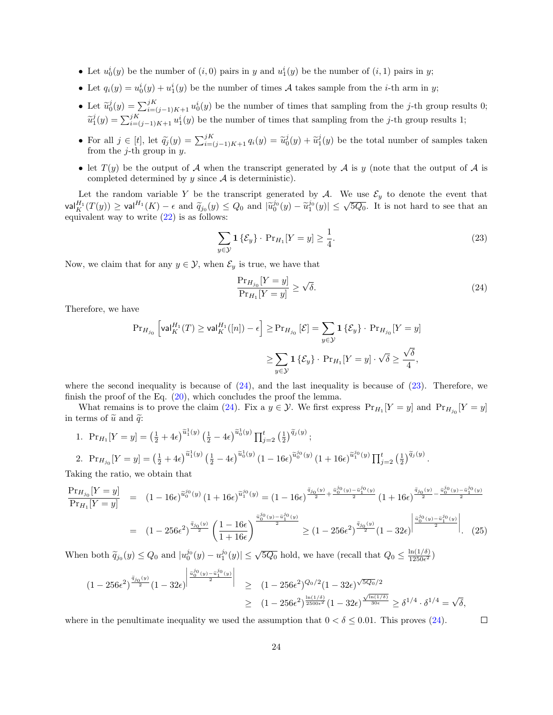- Let  $u_0^i(y)$  be the number of  $(i, 0)$  pairs in y and  $u_1^i(y)$  be the number of  $(i, 1)$  pairs in y;
- Let  $q_i(y) = u_0^i(y) + u_1^i(y)$  be the number of times A takes sample from the *i*-th arm in *y*;
- Let  $\tilde{u}_0^j(y) = \sum_{i=(j-1)K+1}^{jK} u_0^i(y)$  be the number of times that sampling from the j-th group results 0;  $\tilde{u}_1^j(y) = \sum_{i=(j-1)K+1}^{j(K)} u_1^i(y)$  be the number of times that sampling from the j-th group results 1;
- For all  $j \in [t]$ , let  $\tilde{q}_j(y) = \sum_{i=(j-1)K+1}^{j(K)} q_i(y) = \tilde{u}_0^j(y) + \tilde{u}_1^j(y)$  be the total number of samples taken from the *j*-th group in  $y$ .
- let  $T(y)$  be the output of A when the transcript generated by A is y (note that the output of A is completed determined by  $y$  since  $A$  is deterministic).

Let the random variable Y be the transcript generated by A. We use  $\mathcal{E}_y$  to denote the event that val $\frac{H_1}{K}(T(y)) \ge \text{val}^{H_1}(K) - \epsilon$  and  $\tilde{q}_{j_0}(y) \le Q_0$  and  $|\tilde{u}_0^{j_0}(y) - \tilde{u}_1^{j_0}(y)| \le \sqrt{5Q_0}$ . It is not hard to see that an equivalent wear to write (22) is as follows: equivalent way to write  $(22)$  is as follows:

$$
\sum_{y \in \mathcal{Y}} \mathbf{1} \left\{ \mathcal{E}_y \right\} \cdot \Pr_{H_1}[Y = y] \ge \frac{1}{4}.\tag{23}
$$

Now, we claim that for any  $y \in \mathcal{Y}$ , when  $\mathcal{E}_y$  is true, we have that

<span id="page-23-1"></span><span id="page-23-0"></span>
$$
\frac{\Pr_{H_{j_0}}[Y=y]}{\Pr_{H_1}[Y=y]} \ge \sqrt{\delta}.\tag{24}
$$

Therefore, we have

$$
\begin{aligned} \Pr_{H_{j_0}}\left[\mathrm{val}^{H_1}_K(T) \geq \mathrm{val}^{H_1}_K([n]) - \epsilon\right] &\geq \Pr_{H_{j_0}}\left[\mathcal{E}\right] = \sum_{y \in \mathcal{Y}} \mathbf{1}\left\{\mathcal{E}_y\right\} \cdot \Pr_{H_{j_0}}[Y = y] \\ &\geq \sum_{y \in \mathcal{Y}} \mathbf{1}\left\{\mathcal{E}_y\right\} \cdot \Pr_{H_1}[Y = y] \cdot \sqrt{\delta} \geq \frac{\sqrt{\delta}}{4}, \end{aligned}
$$

where the second inequality is because of  $(24)$ , and the last inequality is because of  $(23)$ . Therefore, we finish the proof of the Eq. [\(20\)](#page-22-0), which concludes the proof the lemma.

What remains is to prove the claim [\(24\)](#page-23-0). Fix a  $y \in \mathcal{Y}$ . We first express  $Pr_{H_1}[Y = y]$  and  $Pr_{H_{j_0}}[Y = y]$ in terms of  $\tilde{u}$  and  $\tilde{q}$ :

1. 
$$
\Pr_{H_1}[Y = y] = \left(\frac{1}{2} + 4\epsilon\right)^{\tilde{u}_1^1(y)} \left(\frac{1}{2} - 4\epsilon\right)^{\tilde{u}_0^1(y)} \prod_{j=2}^t \left(\frac{1}{2}\right)^{\tilde{q}_j(y)};
$$
  
\n2.  $\Pr_{H_{j_0}}[Y = y] = \left(\frac{1}{2} + 4\epsilon\right)^{\tilde{u}_1^1(y)} \left(\frac{1}{2} - 4\epsilon\right)^{\tilde{u}_0^1(y)} \left(1 - 16\epsilon\right)^{\tilde{u}_0^{j_0}(y)} \left(1 + 16\epsilon\right)^{\tilde{u}_1^{j_0}(y)} \prod_{j=2}^t \left(\frac{1}{2}\right)^{\tilde{q}_j(y)}.$ 

Taking the ratio, we obtain that

$$
\frac{\Pr_{H_{j_0}}[Y=y]}{\Pr_{H_1}[Y=y]} = (1-16\epsilon)^{\tilde{u}_0^{j_0}(y)}(1+16\epsilon)^{\tilde{u}_1^{j_0}(y)} = (1-16\epsilon)^{\frac{\tilde{u}_0^{j_0}(y)}{2} + \frac{\tilde{u}_0^{j_0}(y) - \tilde{u}_1^{j_0}(y)}{2}}(1+16\epsilon)^{\frac{\tilde{u}_0^{j_0}(y) - \tilde{u}_1^{j_0}(y)}{2}}}{(1-256\epsilon^2)^{\frac{\tilde{u}_0^{j_0}(y)}{2}}\left(\frac{1-16\epsilon}{1+16\epsilon}\right)^{\frac{\tilde{u}_0^{j_0}(y) - \tilde{u}_1^{j_0}(y)}{2}} \ge (1-256\epsilon^2)^{\frac{\tilde{u}_{j_0}(y)}{2}}(1-32\epsilon)^{\left|\frac{\tilde{u}_0^{j_0}(y) - \tilde{u}_1^{j_0}(y)}{2}\right|}. \tag{25}
$$

When both  $\widetilde{q}_{j_0}(y) \leq Q_0$  and  $|u_0^{j_0}(y) - u_1^{j_0}(y)| \leq \sqrt{5Q_0}$  hold, we have (recall that  $Q_0 \leq \frac{\ln(1/\delta)}{1250\epsilon^2}$  $\frac{\ln(1/\delta)}{1250\epsilon^2}$ 

$$
(1 - 256\epsilon^2)^{\frac{\tilde{q}_{j_0}(y)}{2}}(1 - 32\epsilon)^{\left|\frac{\tilde{u}_0^{j_0}(y) - \tilde{u}_1^{j_0}(y)}{2}\right|} \geq (1 - 256\epsilon^2)^{Q_0/2}(1 - 32\epsilon)^{\sqrt{5Q_0}/2}
$$
  
 
$$
\geq (1 - 256\epsilon^2)^{\frac{\ln(1/\delta)}{2500\epsilon^2}}(1 - 32\epsilon)^{\frac{\sqrt{\ln(1/\delta)}}{30\epsilon}} \geq \delta^{1/4} \cdot \delta^{1/4} = \sqrt{\delta},
$$

where in the penultimate inequality we used the assumption that  $0 < \delta \leq 0.01$ . This proves [\(24\)](#page-23-0).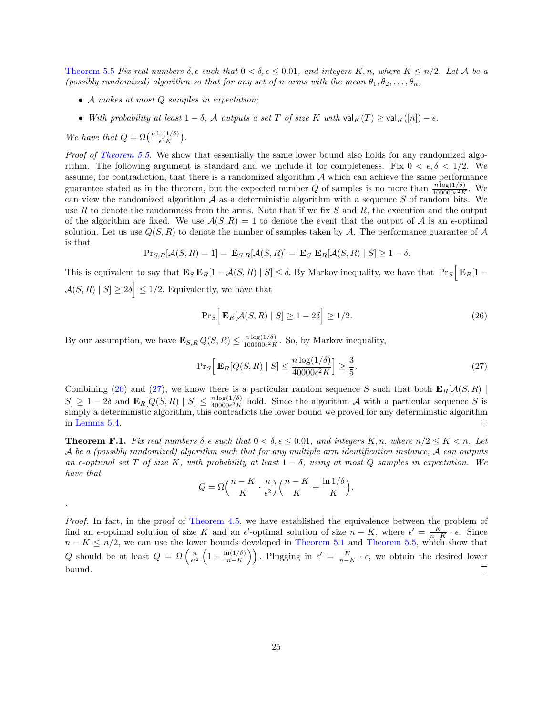[Theorem 5.5](#page-8-1) Fix real numbers  $\delta, \epsilon$  such that  $0 < \delta, \epsilon \leq 0.01$ , and integers K, n, where  $K \leq n/2$ . Let A be a (possibly randomized) algorithm so that for any set of n arms with the mean  $\theta_1, \theta_2, \ldots, \theta_n$ ,

- A makes at most Q samples in expectation;
- With probability at least  $1 \delta$ , A outputs a set T of size K with  $\mathsf{val}_K(T) \geq \mathsf{val}_K([n]) \epsilon$ .

We have that  $Q = \Omega\left(\frac{n \ln(1/\delta)}{\epsilon^2 K}\right)$ .

.

Proof of [Theorem 5.5.](#page-8-1) We show that essentially the same lower bound also holds for any randomized algorithm. The following argument is standard and we include it for completeness. Fix  $0 < \epsilon, \delta < 1/2$ . We assume, for contradiction, that there is a randomized algorithm  $A$  which can achieve the same performance guarantee stated as in the theorem, but the expected number Q of samples is no more than  $\frac{n \log(1/\delta)}{100000\epsilon^2 K}$ . We can view the randomized algorithm  $A$  as a deterministic algorithm with a sequence  $S$  of random bits. We use R to denote the randomness from the arms. Note that if we fix  $S$  and  $R$ , the execution and the output of the algorithm are fixed. We use  $A(S, R) = 1$  to denote the event that the output of A is an  $\epsilon$ -optimal solution. Let us use  $Q(S, R)$  to denote the number of samples taken by A. The performance guarantee of A is that

$$
Pr_{S,R}[{\cal A}(S,R)=1] = \mathbf{E}_{S,R}[{\cal A}(S,R)] = \mathbf{E}_{S} \mathbf{E}_{R}[{\cal A}(S,R) \mid S] \ge 1 - \delta.
$$

This is equivalent to say that  $\mathbf{E}_S \mathbf{E}_R[1 - A(S, R) | S] \le \delta$ . By Markov inequality, we have that  $\Pr_S \left[ \mathbf{E}_R[1 - A(S, R) | S] \right]$  $\mathcal{A}(S,R) | S \geq 2\delta \leq 1/2$ . Equivalently, we have that

<span id="page-24-0"></span>
$$
\Pr_S \Big[ \mathbf{E}_R[\mathcal{A}(S, R) \mid S] \ge 1 - 2\delta \Big] \ge 1/2. \tag{26}
$$

By our assumption, we have  $\mathbf{E}_{S,R} Q(S,R) \leq \frac{n \log(1/\delta)}{100000 \epsilon^2 R}$  $\frac{n \log(1/\delta)}{100000 \epsilon^2 K}$ . So, by Markov inequality,

<span id="page-24-1"></span>
$$
\Pr_S\left[\mathbf{E}_R[Q(S,R) \mid S] \le \frac{n \log(1/\delta)}{40000\epsilon^2 K}\right] \ge \frac{3}{5}.\tag{27}
$$

Combining [\(26\)](#page-24-0) and [\(27\)](#page-24-1), we know there is a particular random sequence S such that both  $\mathbf{E}_R[\mathcal{A}(S,R)]$  $|S| \geq 1-2\delta$  and  $\mathbf{E}_{R}[Q(S,R) | S] \leq \frac{n \log(1/\delta)}{40000\epsilon^2 K}$  $\frac{n \log(1/\theta)}{40000\epsilon^2 K}$  hold. Since the algorithm A with a particular sequence S is simply a deterministic algorithm, this contradicts the lower bound we proved for any deterministic algorithm in [Lemma 5.4.](#page-7-2) П

**Theorem F.1.** Fix real numbers  $\delta, \epsilon$  such that  $0 < \delta, \epsilon \leq 0.01$ , and integers  $K, n$ , where  $n/2 \leq K < n$ . Let  $\mathcal A$  be a (possibly randomized) algorithm such that for any multiple arm identification instance,  $\mathcal A$  can outputs an  $\epsilon$ -optimal set T of size K, with probability at least  $1 - \delta$ , using at most Q samples in expectation. We have that

$$
Q = \Omega\left(\frac{n-K}{K} \cdot \frac{n}{\epsilon^2}\right) \left(\frac{n-K}{K} + \frac{\ln 1/\delta}{K}\right).
$$

Proof. In fact, in the proof of [Theorem 4.5,](#page-5-4) we have established the equivalence between the problem of find an  $\epsilon$ -optimal solution of size K and an  $\epsilon'$ -optimal solution of size  $n - K$ , where  $\epsilon' = \frac{K}{n-K} \cdot \epsilon$ . Since  $n - K \leq n/2$ , we can use the lower bounds developed in [Theorem 5.1](#page-6-1) and [Theorem 5.5,](#page-8-1) which show that Q should be at least  $Q = \Omega\left(\frac{n}{\epsilon'^2}\left(1 + \frac{\ln(1/\delta)}{n-K}\right)\right)$ . Plugging in  $\epsilon' = \frac{K}{n-K} \cdot \epsilon$ , we obtain the desired lower bound.  $\Box$